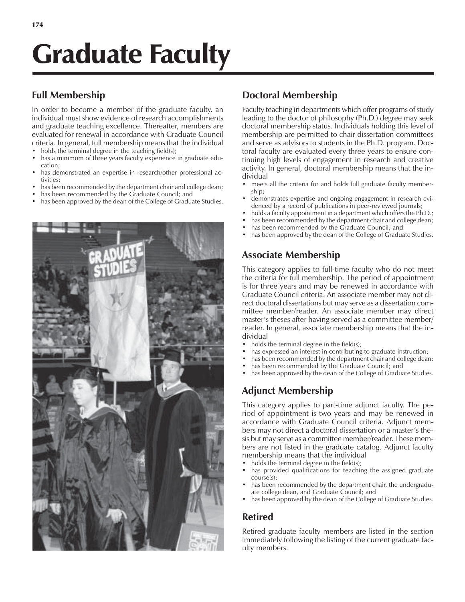# Graduate Faculty

# **Full Membership**

In order to become a member of the graduate faculty, an individual must show evidence of research accomplishments and graduate teaching excellence. Thereafter, members are evaluated for renewal in accordance with Graduate Council criteria. In general, full membership means that the individual

- holds the terminal degree in the teaching field(s);
- has a minimum of three years faculty experience in graduate education;
- has demonstrated an expertise in research/other professional activities;
- has been recommended by the department chair and college dean;
- has been recommended by the Graduate Council; and
- has been approved by the dean of the College of Graduate Studies.



# **Doctoral Membership**

Faculty teaching in departments which offer programs of study leading to the doctor of philosophy (Ph.D.) degree may seek doctoral membership status. Individuals holding this level of membership are permitted to chair dissertation committees and serve as advisors to students in the Ph.D. program. Doctoral faculty are evaluated every three years to ensure continuing high levels of engagement in research and creative activity. In general, doctoral membership means that the individual

- meets all the criteria for and holds full graduate faculty membership;
- demonstrates expertise and ongoing engagement in research evidenced by a record of publications in peer-reviewed journals;
- holds a faculty appointment in a department which offers the Ph.D.;
- has been recommended by the department chair and college dean;
- has been recommended by the Graduate Council; and
- has been approved by the dean of the College of Graduate Studies.

# **Associate Membership**

This category applies to full-time faculty who do not meet the criteria for full membership. The period of appointment is for three years and may be renewed in accordance with Graduate Council criteria. An associate member may not direct doctoral dissertations but may serve as a dissertation committee member/reader. An associate member may direct master's theses after having served as a committee member/ reader. In general, associate membership means that the individual

- $\bullet$  holds the terminal degree in the field(s);
- has expressed an interest in contributing to graduate instruction;
- has been recommended by the department chair and college dean;
- has been recommended by the Graduate Council; and
- has been approved by the dean of the College of Graduate Studies.

# **Adjunct Membership**

This category applies to part-time adjunct faculty. The period of appointment is two years and may be renewed in accordance with Graduate Council criteria. Adjunct members may not direct a doctoral dissertation or a master's thesis but may serve as a committee member/reader. These members are not listed in the graduate catalog. Adjunct faculty membership means that the individual

- holds the terminal degree in the field(s);
- has provided qualifications for teaching the assigned graduate course(s);
- has been recommended by the department chair, the undergraduate college dean, and Graduate Council; and
- has been approved by the dean of the College of Graduate Studies.

# **Retired**

Retired graduate faculty members are listed in the section immediately following the listing of the current graduate faculty members.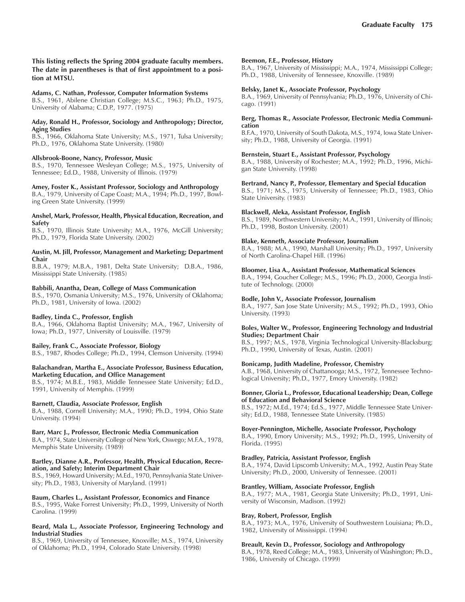**This listing reflects the Spring 2004 graduate faculty members. The date in parentheses is that of first appointment to a position at MTSU.**

#### **Adams, C. Nathan, Professor, Computer Information Systems**

B.S., 1961, Abilene Christian College; M.S.C., 1963; Ph.D., 1975, University of Alabama; C.D.P., 1977. (1975)

#### **Aday, Ronald H., Professor, Sociology and Anthropology; Director, Aging Studies**

B.S., 1966, Oklahoma State University; M.S., 1971, Tulsa University; Ph.D., 1976, Oklahoma State University. (1980)

#### **Allsbrook-Boone, Nancy, Professor, Music**

B.S., 1970, Tennessee Wesleyan College; M.S., 1975, University of Tennessee; Ed.D., 1988, University of Illinois. (1979)

#### **Amey, Foster K., Assistant Professor, Sociology and Anthropology** B.A., 1979, University of Cape Coast; M.A., 1994; Ph.D., 1997, Bowl-

ing Green State University. (1999)

#### **Anshel, Mark, Professor, Health, Physical Education, Recreation, and Safety**

B.S., 1970, Illinois State University; M.A., 1976, McGill University; Ph.D., 1979, Florida State University. (2002)

#### **Austin, M. Jill, Professor, Management and Marketing; Department Chair**

B.B.A., 1979; M.B.A., 1981, Delta State University; D.B.A., 1986, Mississippi State University. (1985)

# **Babbili, Anantha, Dean, College of Mass Communication**

B.S., 1970, Osmania University; M.S., 1976, University of Oklahoma; Ph.D., 1981, University of Iowa. (2002)

# **Badley, Linda C., Professor, English**

B.A., 1966, Oklahoma Baptist University; M.A., 1967, University of Iowa; Ph.D., 1977, University of Louisville. (1979)

# **Bailey, Frank C., Associate Professor, Biology**

B.S., 1987, Rhodes College; Ph.D., 1994, Clemson University. (1994)

#### **Balachandran, Martha E., Associate Professor, Business Education, Marketing Education, and Office Management**

B.S., 1974; M.B.E., 1983, Middle Tennessee State University; Ed.D., 1991, University of Memphis. (1999)

#### **Barnett, Claudia, Associate Professor, English**

B.A., 1988, Cornell University; M.A., 1990; Ph.D., 1994, Ohio State University. (1994)

# **Barr, Marc J., Professor, Electronic Media Communication**

B.A., 1974, State University College of New York, Oswego; M.F.A., 1978, Memphis State University. (1989)

#### **Bartley, Dianne A.R., Professor, Health, Physical Education, Recreation, and Safety; Interim Department Chair**

B.S., 1969, Howard University; M.Ed., 1970, Pennsylvania State University; Ph.D., 1983, University of Maryland. (1991)

#### **Baum, Charles L., Assistant Professor, Economics and Finance**

B.S., 1995, Wake Forrest University; Ph.D., 1999, University of North Carolina. (1999)

#### **Beard, Mala L., Associate Professor, Engineering Technology and Industrial Studies**

B.S., 1969, University of Tennessee, Knoxville; M.S., 1974, University of Oklahoma; Ph.D., 1994, Colorado State University. (1998)

#### **Beemon, F.E., Professor, History**

B.A., 1967, University of Mississippi; M.A., 1974, Mississippi College; Ph.D., 1988, University of Tennessee, Knoxville. (1989)

#### **Belsky, Janet K., Associate Professor, Psychology**

B.A., 1969, University of Pennsylvania; Ph.D., 1976, University of Chicago. (1991)

#### **Berg, Thomas R., Associate Professor, Electronic Media Communication**

B.F.A., 1970, University of South Dakota, M.S., 1974, Iowa State University; Ph.D., 1988, University of Georgia. (1991)

#### **Bernstein, Stuart E., Assistant Professor, Psychology**

B.A., 1988, University of Rochester; M.A., 1992; Ph.D., 1996, Michigan State University. (1998)

#### **Bertrand, Nancy P., Professor, Elementary and Special Education**

B.S., 1971; M.S., 1975, University of Tennessee; Ph.D., 1983, Ohio State University. (1983)

#### **Blackwell, Aleka, Assistant Professor, English**

B.S., 1989, Northwestern University; M.A., 1991, University of Illinois; Ph.D., 1998, Boston University. (2001)

#### **Blake, Kenneth, Associate Professor, Journalism**

B.A., 1988; M.A., 1990, Marshall University; Ph.D., 1997, University of North Carolina-Chapel Hill. (1996)

#### **Bloomer, Lisa A., Assistant Professor, Mathematical Sciences**

B.A., 1994, Goucher College; M.S., 1996; Ph.D., 2000, Georgia Institute of Technology. (2000)

## **Bodle, John V., Associate Professor, Journalism**

B.A., 1977, San Jose State University; M.S., 1992; Ph.D., 1993, Ohio University. (1993)

#### **Boles, Walter W., Professor, Engineering Technology and Industrial Studies; Department Chair**

B.S., 1997; M.S., 1978, Virginia Technological University-Blacksburg; Ph.D., 1990, University of Texas, Austin. (2001)

# **Bonicamp, Judith Madeline, Professor, Chemistry**

A.B., 1968, University of Chattanooga; M.S., 1972, Tennessee Technological University; Ph.D., 1977, Emory University. (1982)

#### **Bonner, Gloria L., Professor, Educational Leadership; Dean, College of Education and Behavioral Science**

B.S., 1972; M.Ed., 1974; Ed.S., 1977, Middle Tennessee State University; Ed.D., 1988, Tennessee State University. (1985)

#### **Boyer-Pennington, Michelle, Associate Professor, Psychology**

B.A., 1990, Emory University; M.S., 1992; Ph.D., 1995, University of Florida. (1995)

# **Bradley, Patricia, Assistant Professor, English**

B.A., 1974, David Lipscomb University; M.A., 1992, Austin Peay State University; Ph.D., 2000, University of Tennessee. (2001)

#### **Brantley, William, Associate Professor, English**

B.A., 1977; M.A., 1981, Georgia State University; Ph.D., 1991, University of Wisconsin, Madison. (1992)

#### **Bray, Robert, Professor, English**

B.A., 1973; M.A., 1976, University of Southwestern Louisiana; Ph.D., 1982, University of Mississippi. (1994)

#### **Breault, Kevin D., Professor, Sociology and Anthropology**

B.A., 1978, Reed College; M.A., 1983, University of Washington; Ph.D., 1986, University of Chicago. (1999)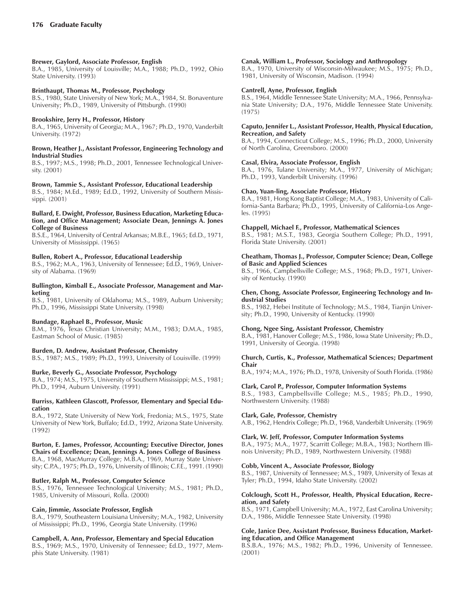# **Brewer, Gaylord, Associate Professor, English**

B.A., 1985, University of Louisville; M.A., 1988; Ph.D., 1992, Ohio State University. (1993)

# **Brinthaupt, Thomas M., Professor, Psychology**

B.S., 1980, State University of New York; M.A., 1984, St. Bonaventure University; Ph.D., 1989, University of Pittsburgh. (1990)

# **Brookshire, Jerry H., Professor, History**

B.A., 1965, University of Georgia; M.A., 1967; Ph.D., 1970, Vanderbilt University. (1972)

## **Brown, Heather J., Assistant Professor, Engineering Technology and Industrial Studies**

B.S., 1997; M.S., 1998; Ph.D., 2001, Tennessee Technological University. (2001)

# **Brown, Tammie S., Assistant Professor, Educational Leadership**

B.S., 1984; M.Ed., 1989; Ed.D., 1992, University of Southern Mississippi. (2001)

#### **Bullard, E. Dwight, Professor, Business Education, Marketing Education, and Office Management; Associate Dean, Jennings A. Jones College of Business**

B.S.E., 1964, University of Central Arkansas; M.B.E., 1965; Ed.D., 1971, University of Mississippi. (1965)

# **Bullen, Robert A., Professor, Educational Leadership**

B.S., 1962; M.A., 1963, University of Tennessee; Ed.D., 1969, University of Alabama. (1969)

# **Bullington, Kimball E., Associate Professor, Management and Marketing**

B.S., 1981, University of Oklahoma; M.S., 1989, Auburn University; Ph.D., 1996, Mississippi State University. (1998)

# **Bundage, Raphael B., Professor, Music**

B.M., 1976, Texas Christian University; M.M., 1983; D.M.A., 1985, Eastman School of Music. (1985)

# **Burden, D. Andrew, Assistant Professor, Chemistry**

B.S., 1987; M.S., 1989; Ph.D., 1993, University of Louisville. (1999)

# **Burke, Beverly G., Associate Professor, Psychology**

B.A., 1974; M.S., 1975, University of Southern Mississippi; M.S., 1981; Ph.D., 1994, Auburn University. (1991)

#### **Burriss, Kathleen Glascott, Professor, Elementary and Special Education**

B.A., 1972, State University of New York, Fredonia; M.S., 1975, State University of New York, Buffalo; Ed.D., 1992, Arizona State University. (1992)

# **Burton, E. James, Professor, Accounting; Executive Director, Jones**

**Chairs of Excellence; Dean, Jennings A. Jones College of Business** B.A., 1968, MacMurray College; M.B.A., 1969, Murray State University; C.P.A., 1975; Ph.D., 1976, University of Illinois; C.F.E., 1991. (1990)

# **Butler, Ralph M., Professor, Computer Science**

B.S., 1976, Tennessee Technological University; M.S., 1981; Ph.D., 1985, University of Missouri, Rolla. (2000)

# **Cain, Jimmie, Associate Professor, English**

B.A., 1979, Southeastern Louisiana University; M.A., 1982, University of Mississippi; Ph.D., 1996, Georgia State University. (1996)

# **Campbell, A. Ann, Professor, Elementary and Special Education**

B.S., 1969; M.S., 1970, University of Tennessee; Ed.D., 1977, Memphis State University. (1981)

# **Canak, William L., Professor, Sociology and Anthropology**

B.A., 1970, University of Wisconsin-Milwaukee; M.S., 1975; Ph.D., 1981, University of Wisconsin, Madison. (1994)

# **Cantrell, Ayne, Professor, English**

B.S., 1964, Middle Tennessee State University; M.A., 1966, Pennsylvania State University; D.A., 1976, Middle Tennessee State University. (1975)

#### **Caputo, Jennifer L., Assistant Professor, Health, Physical Education, Recreation, and Safety**

B.A., 1994, Connecticut College; M.S., 1996; Ph.D., 2000, University of North Carolina, Greensboro. (2000)

# **Casal, Elvira, Associate Professor, English**

B.A., 1976, Tulane University; M.A., 1977, University of Michigan; Ph.D., 1993, Vanderbilt University. (1996)

# **Chao, Yuan-ling, Associate Professor, History**

B.A., 1981, Hong Kong Baptist College; M.A., 1983, University of California-Santa Barbara; Ph.D., 1995, University of California-Los Angeles. (1995)

# **Chappell, Michael F., Professor, Mathematical Sciences**

B.S., 1981; M.S.T., 1983, Georgia Southern College; Ph.D., 1991, Florida State University. (2001)

# **Cheatham, Thomas J., Professor, Computer Science; Dean, College of Basic and Applied Sciences**

B.S., 1966, Campbellsville College; M.S., 1968; Ph.D., 1971, University of Kentucky. (1990)

# **Chen, Chong, Associate Professor, Engineering Technology and Industrial Studies**

B.S., 1982, Hebei Institute of Technology; M.S., 1984, Tianjin University; Ph.D., 1990, University of Kentucky. (1990)

# **Chong, Ngee Sing, Assistant Professor, Chemistry**

B.A., 1981, Hanover College; M.S., 1986, Iowa State University; Ph.D., 1991, University of Georgia. (1998)

# **Church, Curtis, K., Professor, Mathematical Sciences; Department Chair**

B.A., 1974; M.A., 1976; Ph.D., 1978, University of South Florida. (1986)

# **Clark, Carol P., Professor, Computer Information Systems**

B.S., 1983, Campbellsville College; M.S., 1985; Ph.D., 1990, Northwestern University. (1988)

# **Clark, Gale, Professor, Chemistry**

A.B., 1962, Hendrix College; Ph.D., 1968, Vanderbilt University. (1969)

# **Clark, W. Jeff, Professor, Computer Information Systems**

B.A., 1975; M.A., 1977, Scarritt College; M.B.A., 1983; Northern Illinois University; Ph.D., 1989, Northwestern University. (1988)

# **Cobb, Vincent A., Associate Professor, Biology**

B.S., 1987, University of Tennessee; M.S., 1989, University of Texas at Tyler; Ph.D., 1994, Idaho State University. (2002)

#### **Colclough, Scott H., Professor, Health, Physical Education, Recreation, and Safety**

B.S., 1971, Campbell University; M.A., 1972, East Carolina University; D.A., 1986, Middle Tennessee State University. (1998)

#### **Cole, Janice Dee, Assistant Professor, Business Education, Marketing Education, and Office Management**

B.S.B.A., 1976; M.S., 1982; Ph.D., 1996, University of Tennessee. (2001)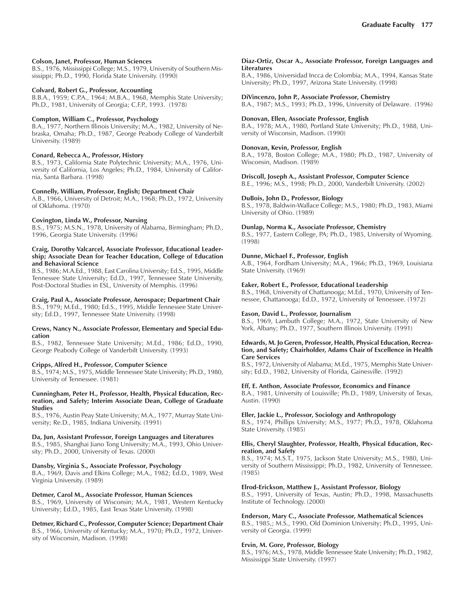# **Colson, Janet, Professor, Human Sciences**

B.S., 1976, Mississippi College; M.S., 1979, University of Southern Mississippi; Ph.D., 1990, Florida State University. (1990)

#### **Colvard, Robert G., Professor, Accounting**

B.B.A., 1959; C.P.A., 1964; M.B.A., 1968, Memphis State University; Ph.D., 1981, University of Georgia; C.F.P., 1993. (1978)

## **Compton, William C., Professor, Psychology**

B.A., 1977, Northern Illinois University; M.A., 1982, University of Nebraska, Omaha; Ph.D., 1987, George Peabody College of Vanderbilt University. (1989)

# **Conard, Rebecca A., Professor, History**

B.S., 1973, California State Polytechnic University; M.A., 1976, University of California, Los Angeles; Ph.D., 1984, University of California, Santa Barbara. (1998)

#### **Connelly, William, Professor, English; Department Chair**

A.B., 1966, University of Detroit; M.A., 1968; Ph.D., 1972, University of Oklahoma. (1970)

#### **Covington, Linda W., Professor, Nursing**

B.S., 1975; M.S.N., 1978, University of Alabama, Birmingham; Ph.D., 1996, Georgia State University. (1996)

# **Craig, Dorothy Valcarcel, Associate Professor, Educational Leadership; Associate Dean for Teacher Education, College of Education and Behavioral Science**

B.S., 1986; M.A.Ed., 1988, East Carolina University; Ed.S., 1995, Middle Tennessee State University; Ed.D., 1997, Tennessee State University, Post-Doctoral Studies in ESL, University of Memphis. (1996)

**Craig, Paul A., Associate Professor, Aerospace; Department Chair** B.S., 1979; M.Ed., 1980; Ed.S., 1995, Middle Tennessee State University; Ed.D., 1997, Tennessee State University. (1998)

#### **Crews, Nancy N., Associate Professor, Elementary and Special Education**

B.S., 1982, Tennessee State University; M.Ed., 1986; Ed.D., 1990, George Peabody College of Vanderbilt University. (1993)

# **Cripps, Alfred H., Professor, Computer Science**

B.S., 1974; M.S., 1975, Middle Tennessee State University; Ph.D., 1980, University of Tennessee. (1981)

#### **Cunningham, Peter H., Professor, Health, Physical Education, Recreation, and Safety; Interim Associate Dean, College of Graduate Studies**

B.S., 1976, Austin Peay State University; M.A., 1977, Murray State University; Re.D., 1985, Indiana University. (1991)

# **Da, Jun, Assistant Professor, Foreign Languages and Literatures**

B.S., 1985, Shanghai Jiano Tong University; M.A., 1993, Ohio University; Ph.D., 2000, University of Texas. (2000)

# **Dansby, Virginia S., Associate Professor, Psychology**

B.A., 1969, Davis and Elkins College; M.A., 1982; Ed.D., 1989, West Virginia University. (1989)

#### **Detmer, Carol M., Associate Professor, Human Sciences**

B.S., 1969, University of Wisconsin; M.A., 1981, Western Kentucky University; Ed.D., 1985, East Texas State University. (1998)

# **Detmer, Richard C., Professor, Computer Science; Department Chair**

B.S., 1966, University of Kentucky; M.A., 1970; Ph.D., 1972, University of Wisconsin, Madison. (1998)

#### **Diaz-Ortiz, Oscar A., Associate Professor, Foreign Languages and Literatures**

B.A., 1986, Universidad Incca de Colombia; M.A., 1994, Kansas State University; Ph.D., 1997, Arizona State University. (1998)

#### **DiVincenzo, John P., Associate Professor, Chemistry**

B.A., 1987; M.S., 1993; Ph.D., 1996, University of Delaware. (1996)

#### **Donovan, Ellen, Associate Professor, English**

B.A., 1978; M.A., 1980, Portland State University; Ph.D., 1988, University of Wisconsin, Madison. (1990)

#### **Donovan, Kevin, Professor, English**

B.A., 1978, Boston College; M.A., 1980; Ph.D., 1987, University of Wisconsin, Madison. (1989)

**Driscoll, Joseph A., Assistant Professor, Computer Science**

B.E., 1996; M.S., 1998; Ph.D., 2000, Vanderbilt University. (2002)

# **DuBois, John D., Professor, Biology**

B.S., 1978, Baldwin-Wallace College; M.S., 1980; Ph.D., 1983, Miami University of Ohio. (1989)

#### **Dunlap, Norma K., Associate Professor, Chemistry**

B.S., 1977, Eastern College, PA; Ph.D., 1985, University of Wyoming. (1998)

#### **Dunne, Michael F., Professor, English**

A.B., 1964, Fordham University; M.A., 1966; Ph.D., 1969, Louisiana State University. (1969)

#### **Eaker, Robert E., Professor, Educational Leadership**

B.S., 1968, University of Chattanooga; M.Ed., 1970, University of Tennessee, Chattanooga; Ed.D., 1972, University of Tennessee. (1972)

# **Eason, David L., Professor, Journalism**

B.S., 1969, Lambuth College; M.A., 1972, State University of New York, Albany; Ph.D., 1977, Southern Illinois University. (1991)

#### **Edwards, M. Jo Geren, Professor, Health, Physical Education, Recreation, and Safety; Chairholder, Adams Chair of Excellence in Health Care Services**

B.S., 1972, University of Alabama; M.Ed., 1975, Memphis State University; Ed.D., 1982, University of Florida, Gainesville. (1992)

#### **Eff, E. Anthon, Associate Professor, Economics and Finance**

B.A., 1981, University of Louisville; Ph.D., 1989, University of Texas, Austin. (1990)

#### **Eller, Jackie L., Professor, Sociology and Anthropology**

B.S., 1974, Phillips University; M.S., 1977; Ph.D., 1978, Oklahoma State University. (1985)

#### **Ellis, Cheryl Slaughter, Professor, Health, Physical Education, Recreation, and Safety**

B.S., 1974; M.S.T., 1975, Jackson State University; M.S., 1980, University of Southern Mississippi; Ph.D., 1982, University of Tennessee. (1985)

#### **Elrod-Erickson, Matthew J., Assistant Professor, Biology**

B.S., 1991, University of Texas, Austin; Ph.D., 1998, Massachusetts Institute of Technology. (2000)

# **Enderson, Mary C., Associate Professor, Mathematical Sciences**

B.S., 1985,; M.S., 1990, Old Dominion University; Ph.D., 1995, University of Georgia. (1999)

# **Ervin, M. Gore, Professor, Biology**

B.S., 1976; M.S., 1978, Middle Tennessee State University; Ph.D., 1982, Mississippi State University. (1997)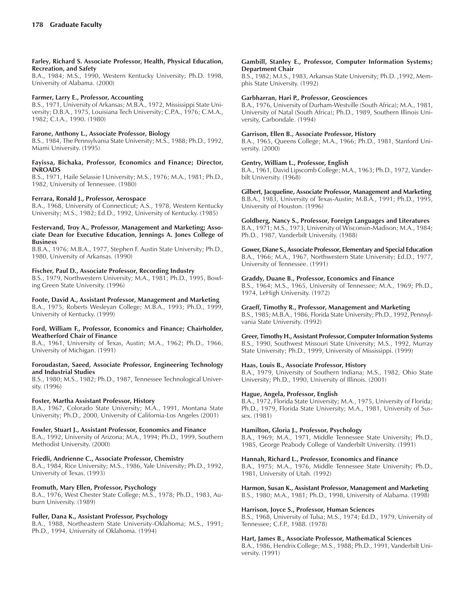#### **Farley, Richard S. Associate Professor, Health, Physical Education, Recreation, and Safety**

B.A., 1984; M.S., 1990, Western Kentucky University; Ph.D. 1998, University of Alabama. (2000)

## **Farmer, Larry E., Professor, Accounting**

B.S., 1971, University of Arkansas; M.B.A., 1972, Mississippi State University; D.B.A., 1975, Louisiana Tech University; C.P.A., 1976; C.M.A., 1982; C.I.A., 1990. (1980)

# **Farone, Anthony L., Associate Professor, Biology**

B.S., 1984, The Pennsylvania State University; M.S., 1988; Ph.D., 1992, Miami University. (1995)

#### **Fayissa, Bichaka, Professor, Economics and Finance; Director, INROADS**

B.S., 1971, Haile Selassie I University; M.S., 1976; M.A., 1981; Ph.D., 1982, University of Tennessee. (1980)

# **Ferrara, Ronald J., Professor, Aerospace**

B.A., 1968, University of Connecticut; A.S., 1978, Western Kentucky University; M.S., 1982; Ed.D., 1992, University of Kentucky. (1985)

#### **Festervand, Troy A., Professor, Management and Marketing; Associate Dean for Executive Education, Jennings A. Jones College of Business**

B.B.A., 1976; M.B.A., 1977, Stephen F. Austin State University; Ph.D., 1980, University of Arkansas. (1990)

#### **Fischer, Paul D., Associate Professor, Recording Industry**

B.S., 1979, Northwestern University; M.A., 1981; Ph.D., 1995, Bowling Green State University. (1996)

#### **Foote, David A., Assistant Professor, Management and Marketing** B.A., 1975, Roberts Wesleyan College; M.B.A., 1993; Ph.D., 1999, University of Kentucky. (1999)

#### **Ford, William F., Professor, Economics and Finance; Chairholder, Weatherford Chair of Finance**

B.A., 1961, University of Texas, Austin; M.A., 1962; Ph.D., 1966, University of Michigan. (1991)

#### **Foroudastan, Saeed, Associate Professor, Engineering Technology and Industrial Studies**

B.S., 1980; M.S., 1982; Ph.D., 1987, Tennessee Technological University. (1996)

# **Foster, Martha Assistant Professor, History**

B.A., 1967, Colorado State University; M.A., 1991, Montana State University; Ph.D., 2000, University of California-Los Angeles (2001)

# **Fowler, Stuart J., Assistant Professor, Economics and Finance**

B.A., 1992, University of Arizona; M.A., 1994; Ph.D., 1999, Southern Methodist University. (2000)

# **Friedli, Andrienne C., Associate Professor, Chemistry**

B.A., 1984, Rice University; M.S., 1986, Yale University; Ph.D., 1992, University of Texas. (1993)

# **Fromuth, Mary Ellen, Professor, Psychology**

B.A., 1976, West Chester State College; M.S., 1978; Ph.D., 1983, Auburn University. (1989)

# **Fuller, Dana K., Assistant Professor, Psychology**

B.A., 1988, Northeastern State University-Oklahoma; M.S., 1991; Ph.D., 1994, University of Oklahoma. (1994)

#### **Gambill, Stanley E., Professor, Computer Information Systems; Department Chair**

B.S., 1982; M.I.S., 1983, Arkansas State University; Ph.D. ,1992, Memphis State University. (1992)

## **Garbharran, Hari P., Professor, Geosciences**

B.A., 1976, University of Durham-Westville (South Africa); M.A., 1981, University of Natal (South Africa); Ph.D., 1989, Southern Illinois University, Carbondale. (1994)

#### **Garrison, Ellen B., Associate Professor, History**

B.A., 1965, Queens College; M.A., 1966; Ph.D., 1981, Stanford University. (2000)

#### **Gentry, William L., Professor, English**

B.A., 1961, David Lipscomb College; M.A., 1963; Ph.D., 1972, Vanderbilt University. (1968)

**Gilbert, Jacqueline, Associate Professor, Management and Marketing** B.B.A., 1983, University of Texas-Austin; M.B.A., 1991; Ph.D., 1995, University of Houston. (1996)

# **Goldberg, Nancy S., Professor, Foreign Languages and Literatures**

B.A., 1971; M.S., 1973, University of Wisconsin-Madison; M.A., 1984; Ph.D., 1987, Vanderbilt University. (1988)

# **Gower, Diane S., Associate Professor, Elementary and Special Education**

B.A., 1966; M.A., 1967, Northwestern State University; Ed.D., 1977, University of Tennessee. (1991)

# **Graddy, Duane B., Professor, Economics and Finance**

B.S., 1964; M.S., 1965, University of Tennessee; M.A., 1969; Ph.D., 1974, LeHigh University. (1972)

# **Graeff, Timothy R., Professor, Management and Marketing**

B.S., 1985; M.B.A., 1986, Florida State University; Ph.D., 1992, Pennsylvania State University. (1992)

# **Greer, Timothy H., Assistant Professor, Computer Information Systems**

B.S., 1990, Southwest Missouri State University; M.S., 1992, Murray State University; Ph.D., 1999, University of Mississippi. (1999)

# **Haas, Louis B., Associate Professor, History**

B.A., 1979, University of Southern Indiana; M.S., 1982, Ohio State University; Ph.D., 1990, University of Illinois. (2001)

# **Hague, Angela, Professor, English**

B.A., 1972, Florida State University; M.A., 1975, University of Florida; Ph.D., 1979, Florida State University; M.A., 1981, University of Sussex. (1981)

# **Hamilton, Gloria J., Professor, Psychology**

B.A., 1969; M.A., 1971, Middle Tennessee State University; Ph.D., 1985, George Peabody College of Vanderbilt University. (1991)

# **Hannah, Richard L., Professor, Economics and Finance**

B.A., 1975; M.A., 1976, Middle Tennessee State University; Ph.D., 1981, University of Utah. (1992)

# **Harmon, Susan K., Assistant Professor, Management and Marketing**

B.S., 1980; M.A., 1981; Ph.D., 1998, University of Alabama. (1998)

#### **Harrison, Joyce S., Professor, Human Sciences**

B.S., 1968, University of Tulsa; M.S., 1974; Ed.D., 1979, University of Tennessee; C.F.P., 1988. (1978)

# **Hart, James B., Associate Professor, Mathematical Sciences**

B.A., 1986, Hendrix College; M.S., 1988; Ph.D., 1991, Vanderbilt University. (1991)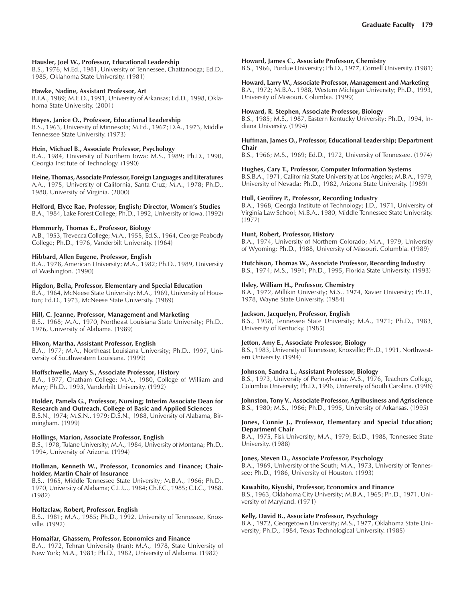#### **Hausler, Joel W., Professor, Educational Leadership**

B.S., 1976; M.Ed., 1981, University of Tennessee, Chattanooga; Ed.D., 1985, Oklahoma State University. (1981)

#### **Hawke, Nadine, Assistant Professor, Art**

B.F.A., 1989; M.E.D., 1991, University of Arkansas; Ed.D., 1998, Oklahoma State University. (2001)

#### **Hayes, Janice O., Professor, Educational Leadership**

B.S., 1963, University of Minnesota; M.Ed., 1967; D.A., 1973, Middle Tennessee State University. (1973)

# **Hein, Michael B., Associate Professor, Psychology**

B.A., 1984, University of Northern Iowa; M.S., 1989; Ph.D., 1990, Georgia Institute of Technology. (1990)

#### **Heine, Thomas, Associate Professor, Foreign Languages and Literatures**

A.A., 1975, University of California, Santa Cruz; M.A., 1978; Ph.D., 1980, University of Virginia. (2000)

# **Helford, Elyce Rae, Professor, English; Director, Womenís Studies**

B.A., 1984, Lake Forest College; Ph.D., 1992, University of Iowa. (1992)

#### **Hemmerly, Thomas E., Professor, Biology**

A.B., 1953, Trevecca College; M.A., 1955; Ed.S., 1964, George Peabody College; Ph.D., 1976, Vanderbilt University. (1964)

# **Hibbard, Allen Eugene, Professor, English**

B.A., 1978, American University; M.A., 1982; Ph.D., 1989, University of Washington. (1990)

#### **Higdon, Bella, Professor, Elementary and Special Education**

B.A., 1964, McNeese State University; M.A., 1969, University of Houston; Ed.D., 1973, McNeese State University. (1989)

# **Hill, C. Jeanne, Professor, Management and Marketing**

B.S., 1968; M.A., 1970, Northeast Louisiana State University; Ph.D., 1976, University of Alabama. (1989)

# **Hixon, Martha, Assistant Professor, English**

B.A., 1977; M.A., Northeast Louisiana University; Ph.D., 1997, University of Southwestern Louisiana. (1999)

# **Hoffschwelle, Mary S., Associate Professor, History**

B.A., 1977, Chatham College; M.A., 1980, College of William and Mary; Ph.D., 1993, Vanderbilt University. (1992)

# **Holder, Pamela G., Professor, Nursing; Interim Associate Dean for**

**Research and Outreach, College of Basic and Applied Sciences** B.S.N., 1974; M.S.N., 1979; D.S.N., 1988, University of Alabama, Birmingham. (1999)

# **Hollings, Marion, Associate Professor, English**

B.S., 1978, Tulane University; M.A., 1984, University of Montana; Ph.D., 1994, University of Arizona. (1994)

#### **Hollman, Kenneth W., Professor, Economics and Finance; Chairholder, Martin Chair of Insurance**

B.S., 1965, Middle Tennessee State University; M.B.A., 1966; Ph.D., 1970, University of Alabama; C.L.U., 1984; Ch.F.C., 1985; C.I.C., 1988. (1982)

# **Holtzclaw, Robert, Professor, English**

B.S., 1981; M.A., 1985; Ph.D., 1992, University of Tennessee, Knoxville. (1992)

# **Homaifar, Ghassem, Professor, Economics and Finance**

B.A., 1972, Tehran University (Iran); M.A., 1978, State University of New York; M.A., 1981; Ph.D., 1982, University of Alabama. (1982)

#### **Howard, James C., Associate Professor, Chemistry**

B.S., 1966, Purdue University; Ph.D., 1977, Cornell University. (1981)

#### **Howard, Larry W., Associate Professor, Management and Marketing**

B.A., 1972; M.B.A., 1988, Western Michigan University; Ph.D., 1993, University of Missouri, Columbia. (1999)

## **Howard, R. Stephen, Associate Professor, Biology**

B.S., 1985; M.S., 1987, Eastern Kentucky University; Ph.D., 1994, Indiana University. (1994)

#### **Huffman, James O., Professor, Educational Leadership; Department Chair**

B.S., 1966; M.S., 1969; Ed.D., 1972, University of Tennessee. (1974)

#### **Hughes, Cary T., Professor, Computer Information Systems**

B.S.B.A., 1971, California State University at Los Angeles; M.B.A., 1979, University of Nevada; Ph.D., 1982, Arizona State University. (1989)

#### **Hull, Geoffrey P., Professor, Recording Industry**

B.A., 1968, Georgia Institute of Technology; J.D., 1971, University of Virginia Law School; M.B.A., 1980, Middle Tennessee State University. (1977)

#### **Hunt, Robert, Professor, History**

B.A., 1974, University of Northern Colorado; M.A., 1979, University of Wyoming; Ph.D., 1988, University of Missouri, Columbia. (1989)

# **Hutchison, Thomas W., Associate Professor, Recording Industry**

B.S., 1974; M.S., 1991; Ph.D., 1995, Florida State University. (1993)

### **Ilsley, William H., Professor, Chemistry**

B.A., 1972, Millikin University; M.S., 1974, Xavier University; Ph.D., 1978, Wayne State University. (1984)

# **Jackson, Jacquelyn, Professor, English**

B.S., 1958, Tennessee State University; M.A., 1971; Ph.D., 1983, University of Kentucky. (1985)

# **Jetton, Amy E., Associate Professor, Biology**

B.S., 1983, University of Tennessee, Knoxville; Ph.D., 1991, Northwestern University. (1994)

#### **Johnson, Sandra L., Assistant Professor, Biology**

B.S., 1973, University of Pennsylvania; M.S., 1976, Teachers College, Columbia University; Ph.D., 1996, University of South Carolina. (1998)

**Johnston, Tony V., Associate Professor, Agribusiness and Agriscience** B.S., 1980; M.S., 1986; Ph.D., 1995, University of Arkansas. (1995)

# **Jones, Connie J., Professor, Elementary and Special Education; Department Chair**

B.A., 1975, Fisk University; M.A., 1979; Ed.D., 1988, Tennessee State University. (1988)

# **Jones, Steven D., Associate Professor, Psychology**

B.A., 1969, University of the South; M.A., 1973, University of Tennessee; Ph.D., 1986, University of Houston. (1993)

# **Kawahito, Kiyoshi, Professor, Economics and Finance**

B.S., 1963, Oklahoma City University; M.B.A., 1965; Ph.D., 1971, University of Maryland. (1971)

# **Kelly, David B., Associate Professor, Psychology**

B.A., 1972, Georgetown University; M.S., 1977, Oklahoma State University; Ph.D., 1984, Texas Technological University. (1985)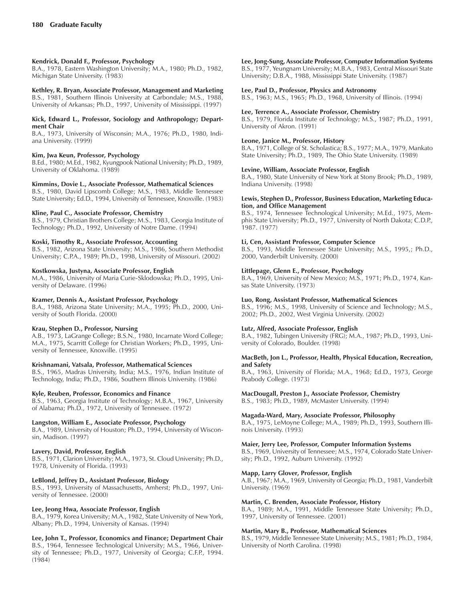# **Kendrick, Donald F., Professor, Psychology**

B.A., 1978, Eastern Washington University; M.A., 1980; Ph.D., 1982, Michigan State University. (1983)

**Kethley, R. Bryan, Associate Professor, Management and Marketing** B.S., 1981, Southern Illinois University at Carbondale; M.S., 1988,

# University of Arkansas; Ph.D., 1997, University of Mississippi. (1997) **Kick, Edward L., Professor, Sociology and Anthropology; Depart-**

# **ment Chair**

B.A., 1973, University of Wisconsin; M.A., 1976; Ph.D., 1980, Indiana University. (1999)

# **Kim, Jwa Keun, Professor, Psychology**

B.Ed., 1980; M.Ed., 1982, Kyungpook National University; Ph.D., 1989, University of Oklahoma. (1989)

# **Kimmins, Dovie L., Associate Professor, Mathematical Sciences**

B.S., 1980, David Lipscomb College; M.S., 1983, Middle Tennessee State University; Ed.D., 1994, University of Tennessee, Knoxville. (1983)

# **Kline, Paul C., Associate Professor, Chemistry**

B.S., 1979, Christian Brothers College; M.S., 1983, Georgia Institute of Technology; Ph.D., 1992, University of Notre Dame. (1994)

# **Koski, Timothy R., Associate Professor, Accounting**

B.S., 1982, Arizona State University; M.S., 1986, Southern Methodist University; C.P.A., 1989; Ph.D., 1998, University of Missouri. (2002)

# **Kostkowska, Justyna, Associate Professor, English**

M.A., 1986, University of Maria Curie-Sklodowska; Ph.D., 1995, University of Delaware. (1996)

# **Kramer, Dennis A., Assistant Professor, Psychology**

B.A., 1988, Arizona State University; M.A., 1995; Ph.D., 2000, University of South Florida. (2000)

# **Krau, Stephen D., Professor, Nursing**

A.B., 1973, LaGrange College; B.S.N., 1980, Incarnate Word College; M.A., 1975, Scarritt College for Christian Workers; Ph.D., 1995, University of Tennessee, Knoxville. (1995)

# **Krishnamani, Vatsala, Professor, Mathematical Sciences**

B.S., 1965, Madras University, India; M.S., 1976, Indian Institute of Technology, India; Ph.D., 1986, Southern Illinois University. (1986)

# **Kyle, Reuben, Professor, Economics and Finance**

B.S., 1963, Georgia Institute of Technology; M.B.A., 1967, University of Alabama; Ph.D., 1972, University of Tennessee. (1972)

# **Langston, William E., Associate Professor, Psychology**

B.A., 1989, University of Houston; Ph.D., 1994, University of Wisconsin, Madison. (1997)

# **Lavery, David, Professor, English**

B.S., 1971, Clarion University; M.A., 1973, St. Cloud University; Ph.D., 1978, University of Florida. (1993)

# **LeBlond, Jeffrey D., Assistant Professor, Biology**

B.S., 1993, University of Massachusetts, Amherst; Ph.D., 1997, University of Tennessee. (2000)

# **Lee, Jeong Hwa, Associate Professor, English**

B.A., 1979, Korea University; M.A., 1982, State University of New York, Albany; Ph.D., 1994, University of Kansas. (1994)

# **Lee, John T., Professor, Economics and Finance; Department Chair**

B.S., 1964, Tennessee Technological University; M.S., 1966, University of Tennessee; Ph.D., 1977, University of Georgia; C.F.P., 1994. (1984)

# **Lee, Jong-Sung, Associate Professor, Computer Information Systems**

B.S., 1977, Yeungnam University; M.B.A., 1983, Central Missouri State University; D.B.A., 1988, Mississippi State University. (1987)

## **Lee, Paul D., Professor, Physics and Astronomy**

B.S., 1963; M.S., 1965; Ph.D., 1968, University of Illinois. (1994)

# **Lee, Terrence A., Associate Professor, Chemistry**

B.S., 1979, Florida Institute of Technology; M.S., 1987; Ph.D., 1991, University of Akron. (1991)

# **Leone, Janice M., Professor, History**

B.A., 1971, College of St. Scholastica; B.S., 1977; M.A., 1979, Mankato State University; Ph.D., 1989, The Ohio State University. (1989)

# **Levine, William, Associate Professor, English**

B.A., 1980, State University of New York at Stony Brook; Ph.D., 1989, Indiana University. (1998)

#### **Lewis, Stephen D., Professor, Business Education, Marketing Education, and Office Management**

B.S., 1974, Tennessee Technological University; M.Ed., 1975, Memphis State University; Ph.D., 1977, University of North Dakota; C.D.P., 1987. (1977)

# **Li, Cen, Assistant Professor, Computer Science**

B.S., 1993, Middle Tennessee State University; M.S., 1995,; Ph.D., 2000, Vanderbilt University. (2000)

# **Littlepage, Glenn E., Professor, Psychology**

B.A., 1969, University of New Mexico; M.S., 1971; Ph.D., 1974, Kansas State University. (1973)

# **Luo, Rong, Assistant Professor, Mathematical Sciences**

B.S., 1996; M.S., 1998, University of Science and Technology; M.S., 2002; Ph.D., 2002, West Virginia University. (2002)

# **Lutz, Alfred, Associate Professor, English**

B.A., 1982, Tubingen University (FRG); M.A., 1987; Ph.D., 1993, University of Colorado, Boulder. (1998)

#### **MacBeth, Jon L., Professor, Health, Physical Education, Recreation, and Safety**

B.A., 1963, University of Florida; M.A., 1968; Ed.D., 1973, George Peabody College. (1973)

# **MacDougall, Preston J., Associate Professor, Chemistry**

B.S., 1983; Ph.D., 1989, McMaster University. (1994)

# **Magada-Ward, Mary, Associate Professor, Philosophy**

B.A., 1975, LeMoyne College; M.A., 1989; Ph.D., 1993, Southern Illinois University. (1993)

# **Maier, Jerry Lee, Professor, Computer Information Systems**

B.S., 1969, University of Tennessee; M.S., 1974, Colorado State University; Ph.D., 1992, Auburn University. (1992)

# **Mapp, Larry Glover, Professor, English**

A.B., 1967; M.A., 1969, University of Georgia; Ph.D., 1981, Vanderbilt University. (1969)

# **Martin, C. Brenden, Associate Professor, History**

B.A., 1989; M.A., 1991, Middle Tennessee State University; Ph.D., 1997, University of Tennessee. (2001)

# **Martin, Mary B., Professor, Mathematical Sciences**

B.S., 1979, Middle Tennessee State University; M.S., 1981; Ph.D., 1984, University of North Carolina. (1998)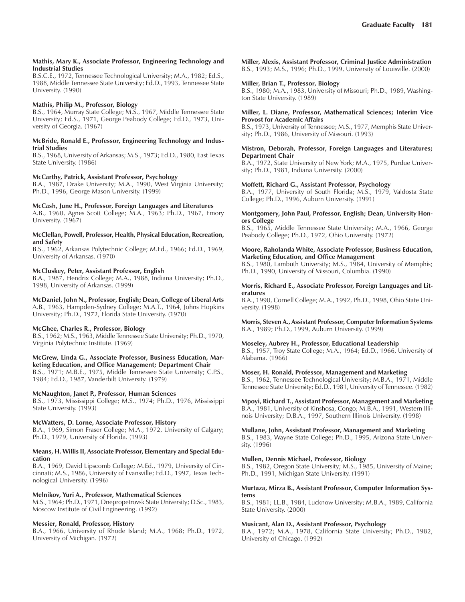#### **Mathis, Mary K., Associate Professor, Engineering Technology and Industrial Studies**

B.S.C.E., 1972, Tennessee Technological University; M.A., 1982; Ed.S., 1988, Middle Tennessee State University; Ed.D., 1993, Tennessee State University. (1990)

# **Mathis, Philip M., Professor, Biology**

B.S., 1964, Murray State College; M.S., 1967, Middle Tennessee State University; Ed.S., 1971, George Peabody College; Ed.D., 1973, University of Georgia. (1967)

#### **McBride, Ronald E., Professor, Engineering Technology and Industrial Studies**

B.S., 1968, University of Arkansas; M.S., 1973; Ed.D., 1980, East Texas State University. (1986)

#### **McCarthy, Patrick, Assistant Professor, Psychology**

B.A., 1987, Drake University; M.A., 1990, West Virginia University; Ph.D., 1996, George Mason University. (1999)

#### **McCash, June H., Professor, Foreign Languages and Literatures**

A.B., 1960, Agnes Scott College; M.A., 1963; Ph.D., 1967, Emory University. (1967)

#### **McClellan, Powell, Professor, Health, Physical Education, Recreation, and Safety**

B.S., 1962, Arkansas Polytechnic College; M.Ed., 1966; Ed.D., 1969, University of Arkansas. (1970)

# **McCluskey, Peter, Assistant Professor, English**

B.A., 1987, Hendrix College; M.A., 1988, Indiana University; Ph.D., 1998, University of Arkansas. (1999)

**McDaniel, John N., Professor, English; Dean, College of Liberal Arts** A.B., 1963, Hampden-Sydney College; M.A.T., 1964, Johns Hopkins University; Ph.D., 1972, Florida State University. (1970)

#### **McGhee, Charles R., Professor, Biology**

B.S., 1962; M.S., 1963, Middle Tennessee State University; Ph.D., 1970, Virginia Polytechnic Institute. (1969)

#### **McGrew, Linda G., Associate Professor, Business Education, Marketing Education, and Office Management; Department Chair**

B.S., 1971; M.B.E., 1975, Middle Tennessee State University; C.P.S., 1984; Ed.D., 1987, Vanderbilt University. (1979)

# **McNaughton, Janet P., Professor, Human Sciences**

B.S., 1973, Mississippi College; M.S., 1974; Ph.D., 1976, Mississippi State University. (1993)

#### **McWatters, D. Lorne, Associate Professor, History**

B.A., 1969, Simon Fraser College; M.A., 1972, University of Calgary; Ph.D., 1979, University of Florida. (1993)

#### **Means, H. Willis II, Associate Professor, Elementary and Special Education**

B.A., 1969, David Lipscomb College; M.Ed., 1979, University of Cincinnati; M.S., 1986, University of Evansville; Ed.D., 1997, Texas Technological University. (1996)

# **Melnikov, Yuri A., Professor, Mathematical Sciences**

M.S., 1964; Ph.D., 1971, Dnepropetrovsk State University; D.Sc., 1983, Moscow Institute of Civil Engineering. (1992)

#### **Messier, Ronald, Professor, History**

B.A., 1966, University of Rhode Island; M.A., 1968; Ph.D., 1972, University of Michigan. (1972)

**Miller, Alexis, Assistant Professor, Criminal Justice Administration** B.S., 1993; M.S., 1996; Ph.D., 1999, University of Louisville. (2000)

#### **Miller, Brian T., Professor, Biology**

B.S., 1980; M.A., 1983, University of Missouri; Ph.D., 1989, Washington State University. (1989)

#### **Miller, L. Diane, Professor, Mathematical Sciences; Interim Vice Provost for Academic Affairs**

B.S., 1973, University of Tennessee; M.S., 1977, Memphis State University; Ph.D., 1986, University of Missouri. (1993)

#### **Mistron, Deborah, Professor, Foreign Languages and Literatures; Department Chair**

B.A., 1972, State University of New York; M.A., 1975, Purdue University; Ph.D., 1981, Indiana University. (2000)

#### **Moffett, Richard G., Assistant Professor, Psychology**

B.A., 1977, University of South Florida; M.S., 1979, Valdosta State College; Ph.D., 1996, Auburn University. (1991)

#### **Montgomery, John Paul, Professor, English; Dean, University Honors College**

B.S., 1965, Middle Tennessee State University; M.A., 1966, George Peabody College; Ph.D., 1972, Ohio University. (1972)

#### **Moore, Raholanda White, Associate Professor, Business Education, Marketing Education, and Office Management**

B.S., 1980, Lambuth University; M.S., 1984, University of Memphis; Ph.D., 1990, University of Missouri, Columbia. (1990)

#### **Morris, Richard E., Associate Professor, Foreign Languages and Literatures**

B.A., 1990, Cornell College; M.A., 1992, Ph.D., 1998, Ohio State University. (1998)

# **Morris, Steven A., Assistant Professor, Computer Information Systems** B.A., 1989; Ph.D., 1999, Auburn University. (1999)

# **Moseley, Aubrey H., Professor, Educational Leadership**

B.S., 1957, Troy State College; M.A., 1964; Ed.D., 1966, University of Alabama. (1966)

#### **Moser, H. Ronald, Professor, Management and Marketing**

B.S., 1962, Tennessee Technological University; M.B.A., 1971, Middle Tennessee State University; Ed.D., 1981, University of Tennessee. (1982)

**Mpoyi, Richard T., Assistant Professor, Management and Marketing**

B.A., 1981, University of Kinshosa, Congo; M.B.A., 1991, Western Illinois University; D.B.A., 1997, Southern Illinois University. (1998)

# **Mullane, John, Assistant Professor, Management and Marketing**

B.S., 1983, Wayne State College; Ph.D., 1995, Arizona State University. (1996)

#### **Mullen, Dennis Michael, Professor, Biology**

B.S., 1982, Oregon State University; M.S., 1985, University of Maine; Ph.D., 1991, Michigan State University. (1991)

#### **Murtaza, Mirza B., Assistant Professor, Computer Information Systems**

B.S., 1981; LL.B., 1984, Lucknow University; M.B.A., 1989, California State University. (2000)

#### **Musicant, Alan D., Assistant Professor, Psychology**

B.A., 1972; M.A., 1978, California State University; Ph.D., 1982, University of Chicago. (1992)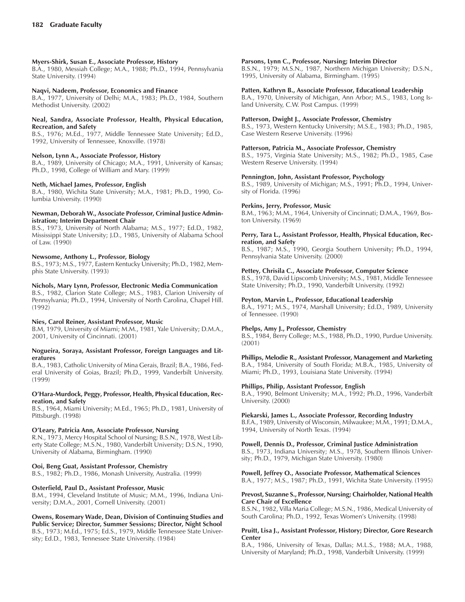## **Myers-Shirk, Susan E., Associate Professor, History**

B.A., 1980, Messiah College; M.A., 1988; Ph.D., 1994, Pennsylvania State University. (1994)

#### **Naqvi, Nadeem, Professor, Economics and Finance**

B.A., 1977, University of Delhi; M.A., 1983; Ph.D., 1984, Southern Methodist University. (2002)

#### **Neal, Sandra, Associate Professor, Health, Physical Education, Recreation, and Safety**

B.S., 1976; M.Ed., 1977, Middle Tennessee State University; Ed.D., 1992, University of Tennessee, Knoxville. (1978)

#### **Nelson, Lynn A., Associate Professor, History**

B.A., 1989, University of Chicago; M.A., 1991, University of Kansas; Ph.D., 1998, College of William and Mary. (1999)

#### **Neth, Michael James, Professor, English**

B.A., 1980, Wichita State University; M.A., 1981; Ph.D., 1990, Columbia University. (1990)

#### **Newman, Deborah W., Associate Professor, Criminal Justice Administration; Interim Department Chair**

B.S., 1973, University of North Alabama; M.S., 1977; Ed.D., 1982, Mississippi State University; J.D., 1985, University of Alabama School of Law. (1990)

#### **Newsome, Anthony L., Professor, Biology**

B.S., 1973; M.S., 1977, Eastern Kentucky University; Ph.D., 1982, Memphis State University. (1993)

#### **Nichols, Mary Lynn, Professor, Electronic Media Communication**

B.S., 1982, Clarion State College; M.S., 1983, Clarion University of Pennsylvania; Ph.D., 1994, University of North Carolina, Chapel Hill. (1992)

#### **Nies, Carol Reiner, Assistant Professor, Music**

B.M, 1979, University of Miami; M.M., 1981, Yale University; D.M.A., 2001, University of Cincinnati. (2001)

#### **Nogueira, Soraya, Assistant Professor, Foreign Languages and Literatures**

B.A., 1983, Catholic University of Mina Gerais, Brazil; B.A., 1986, Federal University of Goias, Brazil; Ph.D., 1999, Vanderbilt University. (1999)

#### **OíHara-Murdock, Peggy, Professor, Health, Physical Education, Recreation, and Safety**

B.S., 1964, Miami University; M.Ed., 1965; Ph.D., 1981, University of Pittsburgh. (1998)

#### **OíLeary, Patricia Ann, Associate Professor, Nursing**

R.N., 1973, Mercy Hospital School of Nursing; B.S.N., 1978, West Liberty State College; M.S.N., 1980, Vanderbilt University; D.S.N., 1990, University of Alabama, Birmingham. (1990)

# **Ooi, Beng Guat, Assistant Professor, Chemistry**

B.S., 1982; Ph.D., 1986, Monash University, Australia. (1999)

# **Osterfield, Paul D., Assistant Professor, Music**

B.M., 1994, Cleveland Institute of Music; M.M., 1996, Indiana University; D.M.A., 2001, Cornell University. (2001)

#### **Owens, Rosemary Wade, Dean, Division of Continuing Studies and Public Service; Director, Summer Sessions; Director, Night School** B.S., 1973; M.Ed., 1975; Ed.S., 1979, Middle Tennessee State University; Ed.D., 1983, Tennessee State University. (1984)

#### **Parsons, Lynn C., Professor, Nursing; Interim Director**

B.S.N., 1979; M.S.N., 1987, Northern Michigan University; D.S.N., 1995, University of Alabama, Birmingham. (1995)

# **Patten, Kathryn B., Associate Professor, Educational Leadership**

B.A., 1970, University of Michigan, Ann Arbor; M.S., 1983, Long Island University, C.W. Post Campus. (1999)

#### **Patterson, Dwight J., Associate Professor, Chemistry**

B.S., 1973, Western Kentucky University; M.S.E., 1983; Ph.D., 1985, Case Western Reserve University. (1996)

# **Patterson, Patricia M., Associate Professor, Chemistry**

B.S., 1975, Virginia State University; M.S., 1982; Ph.D., 1985, Case Western Reserve University. (1994)

#### **Pennington, John, Assistant Professor, Psychology**

B.S., 1989, University of Michigan; M.S., 1991; Ph.D., 1994, University of Florida. (1996)

#### **Perkins, Jerry, Professor, Music**

B.M., 1963; M.M., 1964, University of Cincinnati; D.M.A., 1969, Boston University. (1969)

#### **Perry, Tara L., Assistant Professor, Health, Physical Education, Recreation, and Safety**

B.S., 1987; M.S., 1990, Georgia Southern University; Ph.D., 1994, Pennsylvania State University. (2000)

#### **Pettey, Chrisila C., Associate Professor, Computer Science**

B.S., 1978, David Lipscomb University; M.S., 1981, Middle Tennessee State University; Ph.D., 1990, Vanderbilt University. (1992)

#### **Peyton, Marvin L., Professor, Educational Leadership**

B.A., 1971; M.S., 1974, Marshall University; Ed.D., 1989, University of Tennessee. (1990)

#### **Phelps, Amy J., Professor, Chemistry**

B.S., 1984, Berry College; M.S., 1988, Ph.D., 1990, Purdue University. (2001)

# **Phillips, Melodie R., Assistant Professor, Management and Marketing**

B.A., 1984, University of South Florida; M.B.A., 1985, University of Miami; Ph.D., 1993, Louisiana State University. (1994)

#### **Phillips, Philip, Assistant Professor, English**

B.A., 1990, Belmont University; M.A., 1992; Ph.D., 1996, Vanderbilt University. (2000)

#### **Piekarski, James L., Associate Professor, Recording Industry**

B.F.A., 1989, University of Wisconsin, Milwaukee; M.M., 1991; D.M.A., 1994, University of North Texas. (1994)

#### **Powell, Dennis D., Professor, Criminal Justice Administration**

B.S., 1973, Indiana University; M.S., 1978, Southern Illinois University; Ph.D., 1979, Michigan State University. (1980)

# **Powell, Jeffrey O., Associate Professor, Mathematical Sciences**

B.A., 1977; M.S., 1987; Ph.D., 1991, Wichita State University. (1995)

#### **Prevost, Suzanne S., Professor, Nursing; Chairholder, National Health Care Chair of Excellence**

B.S.N., 1982, Villa Maria College; M.S.N., 1986, Medical University of South Carolina; Ph.D., 1992, Texas Women's University. (1998)

#### **Pruitt, Lisa J., Assistant Professor, History; Director, Gore Research Center**

B.A., 1986, University of Texas, Dallas; M.L.S., 1988; M.A., 1988, University of Maryland; Ph.D., 1998, Vanderbilt University. (1999)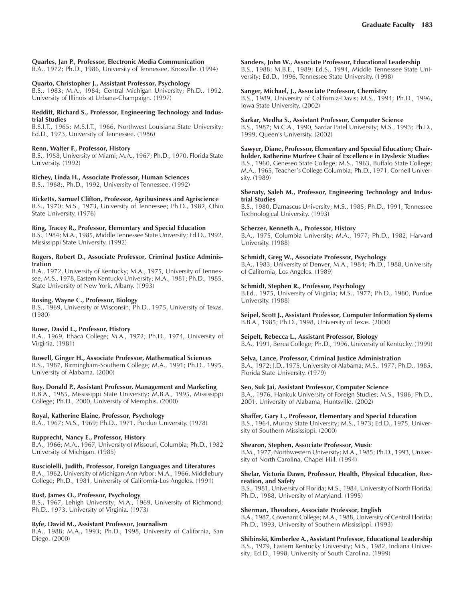# **Quarles, Jan P., Professor, Electronic Media Communication**

B.A., 1972; Ph.D., 1986, University of Tennessee, Knoxville. (1994)

## **Quarto, Christopher J., Assistant Professor, Psychology**

B.S., 1983; M.A., 1984; Central Michigan University; Ph.D., 1992, University of Illinois at Urbana-Champaign. (1997)

#### **Redditt, Richard S., Professor, Engineering Technology and Industrial Studies**

B.S.I.T., 1965; M.S.I.T., 1966, Northwest Louisiana State University; Ed.D., 1973, University of Tennessee. (1986)

# **Renn, Walter F., Professor, History**

B.S., 1958, University of Miami; M.A., 1967; Ph.D., 1970, Florida State University. (1992)

# **Richey, Linda H., Associate Professor, Human Sciences**

B.S., 1968;, Ph.D., 1992, University of Tennessee. (1992)

**Ricketts, Samuel Clifton, Professor, Agribusiness and Agriscience** B.S., 1970; M.S., 1973, University of Tennessee; Ph.D., 1982, Ohio State University. (1976)

# **Ring, Tracey R., Professor, Elementary and Special Education**

B.S., 1984; M.A., 1985, Middle Tennessee State University; Ed.D., 1992, Mississippi State University. (1992)

#### **Rogers, Robert D., Associate Professor, Criminal Justice Administration**

B.A., 1972, University of Kentucky; M.A., 1975, University of Tennessee; M.S., 1978, Eastern Kentucky University; M.A., 1981; Ph.D., 1985, State University of New York, Albany. (1993)

## **Rosing, Wayne C., Professor, Biology**

B.S., 1969, University of Wisconsin; Ph.D., 1975, University of Texas. (1980)

#### **Rowe, David L., Professor, History**

B.A., 1969, Ithaca College; M.A., 1972; Ph.D., 1974, University of Virginia. (1981)

# **Rowell, Ginger H., Associate Professor, Mathematical Sciences**

B.S., 1987, Birmingham-Southern College; M.A., 1991; Ph.D., 1995, University of Alabama. (2000)

# **Roy, Donald P., Assistant Professor, Management and Marketing**

B.B.A., 1985, Mississippi State University; M.B.A., 1995, Mississippi College; Ph.D., 2000, University of Memphis. (2000)

# **Royal, Katherine Elaine, Professor, Psychology**

B.A., 1967; M.S., 1969; Ph.D., 1971, Purdue University. (1978)

# **Rupprecht, Nancy E., Professor, History**

B.A., 1966; M.A., 1967, University of Missouri, Columbia; Ph.D., 1982 University of Michigan. (1985)

# **Rusciolelli, Judith, Professor, Foreign Languages and Literatures**

B.A., 1962, University of Michigan-Ann Arbor; M.A., 1966, Middlebury College; Ph.D., 1981, University of California-Los Angeles. (1991)

# **Rust, James O., Professor, Psychology**

B.S., 1967, Lehigh University; M.A., 1969, University of Richmond; Ph.D., 1973, University of Virginia. (1973)

# **Ryfe, David M., Assistant Professor, Journalism**

B.A., 1988; M.A., 1993; Ph.D., 1998, University of California, San Diego. (2000)

#### **Sanders, John W., Associate Professor, Educational Leadership**

B.S., 1988; M.B.E., 1989; Ed.S., 1994, Middle Tennessee State University; Ed.D., 1996, Tennessee State University. (1998)

#### **Sanger, Michael, J., Associate Professor, Chemistry**

B.S., 1989, University of California-Davis; M.S., 1994; Ph.D., 1996, Iowa State University. (2002)

#### **Sarkar, Medha S., Assistant Professor, Computer Science**

B.S., 1987; M.C.A., 1990, Sardar Patel University; M.S., 1993; Ph.D., 1999, Queen's University. (2002)

# **Sawyer, Diane, Professor, Elementary and Special Education; Chair-**

**holder, Katherine Murfree Chair of Excellence in Dyslexic Studies** B.S., 1960, Geneseo State College; M.S., 1963, Buffalo State College; M.A., 1965, Teacherís College Columbia; Ph.D., 1971, Cornell University. (1989)

#### **Sbenaty, Saleh M., Professor, Engineering Technology and Industrial Studies**

B.S., 1980, Damascus University; M.S., 1985; Ph.D., 1991, Tennessee Technological University. (1993)

# **Scherzer, Kenneth A., Professor, History**

B.A., 1975, Columbia University; M.A., 1977; Ph.D., 1982, Harvard University. (1988)

# **Schmidt, Greg W., Associate Professor, Psychology**

B.A., 1983, University of Denver; M.A., 1984; Ph.D., 1988, University of California, Los Angeles. (1989)

#### **Schmidt, Stephen R., Professor, Psychology**

B.Ed., 1975, University of Virginia; M.S., 1977; Ph.D., 1980, Purdue University. (1988)

**Seipel, Scott J., Assistant Professor, Computer Information Systems** B.B.A., 1985; Ph.D., 1998, University of Texas. (2000)

# **Seipelt, Rebecca L., Assistant Professor, Biology**

B.A., 1991, Berea College; Ph.D., 1996, University of Kentucky. (1999)

# **Selva, Lance, Professor, Criminal Justice Administration**

B.A., 1972; J.D., 1975, University of Alabama; M.S., 1977; Ph.D., 1985, Florida State University. (1979)

# **Seo, Suk Jai, Assistant Professor, Computer Science**

B.A., 1976, Hankuk University of Foreign Studies; M.S., 1986; Ph.D., 2001, University of Alabama, Huntsville. (2002)

# **Shaffer, Gary L., Professor, Elementary and Special Education**

B.S., 1964, Murray State University; M.S., 1973; Ed.D., 1975, University of Southern Mississippi. (2000)

# **Shearon, Stephen, Associate Professor, Music**

B.M., 1977, Northwestern University; M.A., 1985; Ph.D., 1993, University of North Carolina, Chapel Hill. (1994)

#### **Shelar, Victoria Dawn, Professor, Health, Physical Education, Recreation, and Safety**

B.S., 1981, University of Florida; M.S., 1984, University of North Florida; Ph.D., 1988, University of Maryland. (1995)

#### **Sherman, Theodore, Associate Professor, English**

B.A., 1987, Covenant College; M.A., 1988, University of Central Florida; Ph.D., 1993, University of Southern Mississippi. (1993)

**Shibinski, Kimberlee A., Assistant Professor, Educational Leadership** B.S., 1979, Eastern Kentucky University; M.S., 1982, Indiana University; Ed.D., 1998, University of South Carolina. (1999)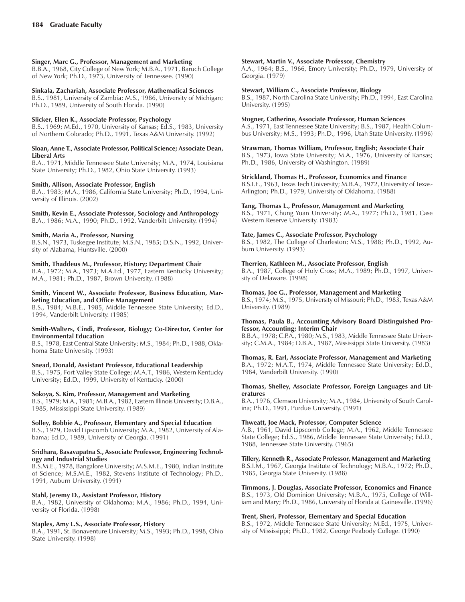# **Singer, Marc G., Professor, Management and Marketing**

B.B.A., 1968, City College of New York; M.B.A., 1971, Baruch College of New York; Ph.D., 1973, University of Tennessee. (1990)

# **Sinkala, Zachariah, Associate Professor, Mathematical Sciences**

B.S., 1981, University of Zambia; M.S., 1986, University of Michigan; Ph.D., 1989, University of South Florida. (1990)

#### **Slicker, Ellen K., Associate Professor, Psychology**

B.S., 1969; M.Ed., 1970, University of Kansas; Ed.S., 1983, University of Northern Colorado; Ph.D., 1991, Texas A&M University. (1992)

#### **Sloan, Anne T., Associate Professor, Political Science; Associate Dean, Liberal Arts**

B.A., 1971, Middle Tennessee State University; M.A., 1974, Louisiana State University; Ph.D., 1982, Ohio State University. (1993)

#### **Smith, Allison, Associate Professor, English**

B.A., 1983; M.A., 1986, California State University; Ph.D., 1994, University of Illinois. (2002)

#### **Smith, Kevin E., Associate Professor, Sociology and Anthropology** B.A., 1986; M.A., 1990; Ph.D., 1992, Vanderbilt University. (1994)

# **Smith, Maria A., Professor, Nursing**

B.S.N., 1973, Tuskegee Institute; M.S.N., 1985; D.S.N., 1992, University of Alabama, Huntsville. (2000)

# **Smith, Thaddeus M., Professor, History; Department Chair**

B.A., 1972; M.A., 1973; M.A.Ed., 1977, Eastern Kentucky University; M.A., 1981; Ph.D., 1987, Brown University. (1988)

#### **Smith, Vincent W., Associate Professor, Business Education, Marketing Education, and Office Management**

B.S., 1984; M.B.E., 1985, Middle Tennessee State University; Ed.D., 1994, Vanderbilt University. (1985)

#### **Smith-Walters, Cindi, Professor, Biology; Co-Director, Center for Environmental Education**

B.S., 1978, East Central State University; M.S., 1984; Ph.D., 1988, Oklahoma State University. (1993)

# **Snead, Donald, Assistant Professor, Educational Leadership**

B.S., 1975, Fort Valley State College; M.A.T., 1986, Western Kentucky University; Ed.D., 1999, University of Kentucky. (2000)

# **Sokoya, S. Kim, Professor, Management and Marketing**

B.S., 1979; M.A., 1981; M.B.A., 1982, Eastern Illinois University; D.B.A., 1985, Mississippi State University. (1989)

# **Solley, Bobbie A., Professor, Elementary and Special Education**

B.S., 1979, David Lipscomb University; M.A., 1982, University of Alabama; Ed.D., 1989, University of Georgia. (1991)

#### **Sridhara, Basavapatna S., Associate Professor, Engineering Technology and Industrial Studies**

B.S.M.E., 1978, Bangalore University; M.S.M.E., 1980, Indian Institute of Science; M.S.M.E., 1982, Stevens Institute of Technology; Ph.D., 1991, Auburn University. (1991)

# **Stahl, Jeremy D., Assistant Professor, History**

B.A., 1982, University of Oklahoma; M.A., 1986; Ph.D., 1994, University of Florida. (1998)

# **Staples, Amy L.S., Associate Professor, History**

B.A., 1991, St. Bonaventure University; M.S., 1993; Ph.D., 1998, Ohio State University. (1998)

# **Stewart, Martin V., Associate Professor, Chemistry**

A.A., 1964; B.S., 1966, Emory University; Ph.D., 1979, University of Georgia. (1979)

#### **Stewart, William C., Associate Professor, Biology**

B.S., 1987, North Carolina State University; Ph.D., 1994, East Carolina University. (1995)

#### **Stogner, Catherine, Associate Professor, Human Sciences**

A.S., 1971, East Tennessee State University; B.S., 1987, Health Columbus University; M.S., 1993; Ph.D., 1996, Utah State University. (1996)

# **Strawman, Thomas William, Professor, English; Associate Chair**

B.S., 1973, Iowa State University; M.A., 1976, University of Kansas; Ph.D., 1986, University of Washington. (1989)

# **Strickland, Thomas H., Professor, Economics and Finance**

B.S.I.E., 1963, Texas Tech University; M.B.A., 1972, University of Texas-Arlington; Ph.D., 1979, University of Oklahoma. (1988)

#### **Tang, Thomas L., Professor, Management and Marketing**

B.S., 1971, Chung Yuan University; M.A., 1977; Ph.D., 1981, Case Western Reserve University. (1983)

#### **Tate, James C., Associate Professor, Psychology**

B.S., 1982, The College of Charleston; M.S., 1988; Ph.D., 1992, Auburn University. (1993)

# **Therrien, Kathleen M., Associate Professor, English**

B.A., 1987, College of Holy Cross; M.A., 1989; Ph.D., 1997, University of Delaware. (1998)

#### **Thomas, Joe G., Professor, Management and Marketing**

B.S., 1974; M.S., 1975, University of Missouri; Ph.D., 1983, Texas A&M University. (1989)

#### **Thomas, Paula B., Accounting Advisory Board Distinguished Professor, Accounting; Interim Chair**

B.B.A., 1978; C.P.A., 1980; M.S., 1983, Middle Tennessee State University; C.M.A., 1984; D.B.A., 1987, Mississippi State University. (1983)

#### **Thomas, R. Earl, Associate Professor, Management and Marketing** B.A., 1972; M.A.T., 1974, Middle Tennessee State University; Ed.D., 1984, Vanderbilt University. (1990)

#### **Thomas, Shelley, Associate Professor, Foreign Languages and Literatures**

B.A., 1976, Clemson University; M.A., 1984, University of South Carolina; Ph.D., 1991, Purdue University. (1991)

#### **Thweatt, Joe Mack, Professor, Computer Science**

A.B., 1961, David Lipscomb College; M.A., 1962, Middle Tennessee State College; Ed.S., 1986, Middle Tennessee State University; Ed.D., 1988, Tennessee State University. (1965)

#### **Tillery, Kenneth R., Associate Professor, Management and Marketing**

B.S.I.M., 1967, Georgia Institute of Technology; M.B.A., 1972; Ph.D., 1985, Georgia State University. (1988)

# **Timmons, J. Douglas, Associate Professor, Economics and Finance**

B.S., 1973, Old Dominion University; M.B.A., 1975, College of William and Mary; Ph.D., 1986, University of Florida at Gainesville. (1996)

# **Trent, Sheri, Professor, Elementary and Special Education**

B.S., 1972, Middle Tennessee State University; M.Ed., 1975, University of Mississippi; Ph.D., 1982, George Peabody College. (1990)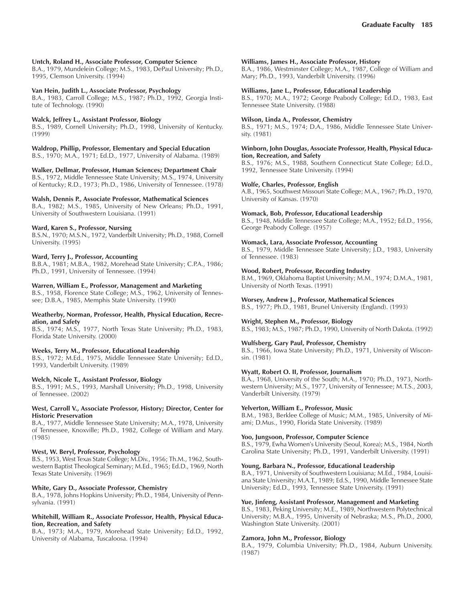# **Untch, Roland H., Associate Professor, Computer Science**

B.A., 1979, Mundelein College; M.S., 1983, DePaul University; Ph.D., 1995, Clemson University. (1994)

# **Van Hein, Judith L., Associate Professor, Psychology**

B.A., 1983, Carroll College; M.S., 1987; Ph.D., 1992, Georgia Institute of Technology. (1990)

## **Walck, Jeffrey L., Assistant Professor, Biology**

B.S., 1989, Cornell University; Ph.D., 1998, University of Kentucky. (1999)

#### **Waldrop, Phillip, Professor, Elementary and Special Education**

B.S., 1970; M.A., 1971; Ed.D., 1977, University of Alabama. (1989)

#### **Walker, Dellmar, Professor, Human Sciences; Department Chair**

B.S., 1972, Middle Tennessee State University; M.S., 1974, University of Kentucky; R.D., 1973; Ph.D., 1986, University of Tennessee. (1978)

#### **Walsh, Dennis P., Associate Professor, Mathematical Sciences**

B.A., 1982; M.S., 1985, University of New Orleans; Ph.D., 1991, University of Southwestern Louisiana. (1991)

#### **Ward, Karen S., Professor, Nursing**

B.S.N., 1970; M.S.N., 1972, Vanderbilt University; Ph.D., 1988, Cornell University. (1995)

#### **Ward, Terry J., Professor, Accounting**

B.B.A., 1981; M.B.A., 1982, Morehead State University; C.P.A., 1986; Ph.D., 1991, University of Tennessee. (1994)

#### **Warren, William E., Professor, Management and Marketing**

B.S., 1958, Florence State College; M.S., 1962, University of Tennessee; D.B.A., 1985, Memphis State University. (1990)

#### **Weatherby, Norman, Professor, Health, Physical Education, Recreation, and Safety**

B.S., 1974; M.S., 1977, North Texas State University; Ph.D., 1983, Florida State University. (2000)

# **Weeks, Terry M., Professor, Educational Leadership**

B.S., 1972; M.Ed., 1975, Middle Tennessee State University; Ed.D., 1993, Vanderbilt University. (1989)

# **Welch, Nicole T., Assistant Professor, Biology**

B.S., 1991; M.S., 1993, Marshall University; Ph.D., 1998, University of Tennessee. (2002)

#### **West, Carroll V., Associate Professor, History; Director, Center for Historic Preservation**

B.A., 1977, Middle Tennessee State University; M.A., 1978, University of Tennessee, Knoxville; Ph.D., 1982, College of William and Mary. (1985)

# **West, W. Beryl, Professor, Psychology**

B.S., 1953, West Texas State College; M.Div., 1956; Th.M., 1962, Southwestern Baptist Theological Seminary; M.Ed., 1965; Ed.D., 1969, North Texas State University. (1969)

# **White, Gary D., Associate Professor, Chemistry**

B.A., 1978, Johns Hopkins University; Ph.D., 1984, University of Pennsylvania. (1991)

#### **Whitehill, William R., Associate Professor, Health, Physical Education, Recreation, and Safety**

B.A., 1973; M.A., 1979, Morehead State University; Ed.D., 1992, University of Alabama, Tuscaloosa. (1994)

#### **Williams, James H., Associate Professor, History**

B.A., 1986, Westminster College; M.A., 1987, College of William and Mary; Ph.D., 1993, Vanderbilt University. (1996)

# **Williams, Jane L., Professor, Educational Leadership**

B.S., 1970; M.A., 1972; George Peabody College; Ed.D., 1983, East Tennessee State University. (1988)

#### **Wilson, Linda A., Professor, Chemistry**

B.S., 1971; M.S., 1974; D.A., 1986, Middle Tennessee State University. (1981)

#### **Winborn, John Douglas, Associate Professor, Health, Physical Education, Recreation, and Safety**

B.S., 1976; M.S., 1988, Southern Connecticut State College; Ed.D., 1992, Tennessee State University. (1994)

#### **Wolfe, Charles, Professor, English**

A.B., 1965, Southwest Missouri State College; M.A., 1967; Ph.D., 1970, University of Kansas. (1970)

#### **Womack, Bob, Professor, Educational Leadership**

B.S., 1948, Middle Tennessee State College; M.A., 1952; Ed.D., 1956, George Peabody College. (1957)

#### **Womack, Lara, Associate Professor, Accounting**

B.S., 1979, Middle Tennessee State University; J.D., 1983, University of Tennessee. (1983)

#### **Wood, Robert, Professor, Recording Industry**

B.M., 1969, Oklahoma Baptist University; M.M., 1974; D.M.A., 1981, University of North Texas. (1991)

# **Worsey, Andrew J., Professor, Mathematical Sciences**

B.S., 1977; Ph.D., 1981, Brunel University (England). (1993)

# **Wright, Stephen M., Professor, Biology**

B.S., 1983; M.S., 1987; Ph.D., 1990, University of North Dakota. (1992)

# **Wulfsberg, Gary Paul, Professor, Chemistry**

B.S., 1966, Iowa State University; Ph.D., 1971, University of Wisconsin. (1981)

#### **Wyatt, Robert O. II, Professor, Journalism**

B.A., 1968, University of the South; M.A., 1970; Ph.D., 1973, Northwestern University; M.S., 1977, University of Tennessee; M.T.S., 2003, Vanderbilt University. (1979)

# **Yelverton, William E., Professor, Music**

B.M., 1983, Berklee College of Music; M.M., 1985, University of Miami; D.Mus., 1990, Florida State University. (1989)

# **Yoo, Jungsoon, Professor, Computer Science**

B.S., 1979, Ewha Women's University (Seoul, Korea); M.S., 1984, North Carolina State University; Ph.D., 1991, Vanderbilt University. (1991)

# **Young, Barbara N., Professor, Educational Leadership**

B.A., 1971, University of Southwestern Louisiana; M.Ed., 1984, Louisiana State University; M.A.T., 1989; Ed.S., 1990, Middle Tennessee State University; Ed.D., 1993, Tennessee State University. (1991)

# **Yue, Jinfeng, Assistant Professor, Management and Marketing**

B.S., 1983, Peking University; M.E., 1989, Northwestern Polytechnical University; M.B.A., 1995, University of Nebraska; M.S., Ph.D., 2000, Washington State University. (2001)

#### **Zamora, John M., Professor, Biology**

B.A., 1979, Columbia University; Ph.D., 1984, Auburn University. (1987)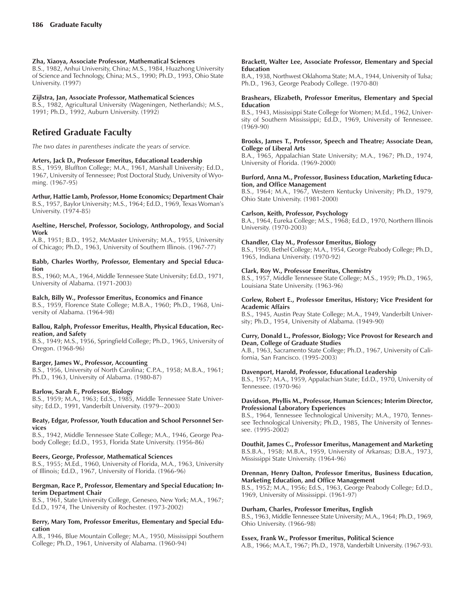# **Zha, Xiaoya, Associate Professor, Mathematical Sciences**

B.S., 1982, Anhui University, China; M.S., 1984, Huazhong University of Science and Technology, China; M.S., 1990; Ph.D., 1993, Ohio State University. (1997)

#### **Zijlstra, Jan, Associate Professor, Mathematical Sciences**

B.S., 1982, Agricultural University (Wageningen, Netherlands); M.S., 1991; Ph.D., 1992, Auburn University. (1992)

# **Retired Graduate Faculty**

*The two dates in parentheses indicate the years of service.*

## **Arters, Jack D., Professor Emeritus, Educational Leadership**

B.S., 1959, Bluffton College; M.A., 1961, Marshall University; Ed.D., 1967, University of Tennessee; Post Doctoral Study, University of Wyoming. (1967-95)

**Arthur, Hattie Lamb, Professor, Home Economics; Department Chair** B.S., 1957, Baylor University; M.S., 1964; Ed.D., 1969, Texas Womanís University. (1974-85)

#### **Aseltine, Herschel, Professor, Sociology, Anthropology, and Social Work**

A.B., 1951; B.D., 1952, McMaster University; M.A., 1955, University of Chicago; Ph.D., 1963, University of Southern Illinois. (1967-77)

#### **Babb, Charles Worthy, Professor, Elementary and Special Education**

B.S., 1960; M.A., 1964, Middle Tennessee State University; Ed.D., 1971, University of Alabama. (1971-2003)

# **Balch, Billy W., Professor Emeritus, Economics and Finance**

B.S., 1959, Florence State College; M.B.A., 1960; Ph.D., 1968, University of Alabama. (1964-98)

#### **Ballou, Ralph, Professor Emeritus, Health, Physical Education, Recreation, and Safety**

B.S., 1949; M.S., 1956, Springfield College; Ph.D., 1965, University of Oregon. (1968-96)

# **Barger, James W., Professor, Accounting**

B.S., 1956, University of North Carolina; C.P.A., 1958; M.B.A., 1961; Ph.D., 1963, University of Alabama. (1980-87)

# **Barlow, Sarah F., Professor, Biology**

B.S., 1959; M.A., 1963; Ed.S., 1985, Middle Tennessee State University; Ed.D., 1991, Vanderbilt University. (1979--2003)

#### **Beaty, Edgar, Professor, Youth Education and School Personnel Services**

B.S., 1942, Middle Tennessee State College; M.A., 1946, George Peabody College; Ed.D., 1953, Florida State University. (1956-86)

# **Beers, George, Professor, Mathematical Sciences**

B.S., 1955; M.Ed., 1960, University of Florida, M.A., 1963, University of Illinois; Ed.D., 1967, University of Florida. (1966-96)

#### **Bergman, Race P., Professor, Elementary and Special Education; Interim Department Chair**

B.S., 1961, State University College, Geneseo, New York; M.A., 1967; Ed.D., 1974, The University of Rochester. (1973-2002)

#### **Berry, Mary Tom, Professor Emeritus, Elementary and Special Education**

A.B., 1946, Blue Mountain College; M.A., 1950, Mississippi Southern College; Ph.D., 1961, University of Alabama. (1960-94)

#### **Brackett, Walter Lee, Associate Professor, Elementary and Special Education**

B.A., 1938, Northwest Oklahoma State; M.A., 1944, University of Tulsa; Ph.D., 1963, George Peabody College. (1970-80)

#### **Brashears, Elizabeth, Professor Emeritus, Elementary and Special Education**

B.S., 1943, Mississippi State College for Women; M.Ed., 1962, University of Southern Mississippi; Ed.D., 1969, University of Tennessee. (1969-90)

#### **Brooks, James T., Professor, Speech and Theatre; Associate Dean, College of Liberal Arts**

B.A., 1965, Appalachian State University; M.A., 1967; Ph.D., 1974, University of Florida. (1969-2000)

#### **Burford, Anna M., Professor, Business Education, Marketing Education, and Office Management**

B.S., 1964; M.A., 1967, Western Kentucky University; Ph.D., 1979, Ohio State University. (1981-2000)

# **Carlson, Keith, Professor, Psychology**

B.A., 1964, Eureka College; M.S., 1968; Ed.D., 1970, Northern Illinois University. (1970-2003)

# **Chandler, Clay M., Professor Emeritus, Biology**

B.S., 1950, Bethel College; M.A., 1954, George Peabody College; Ph.D., 1965, Indiana University. (1970-92)

# **Clark, Roy W., Professor Emeritus, Chemistry**

B.S., 1957, Middle Tennessee State College; M.S., 1959; Ph.D., 1965, Louisiana State University. (1963-96)

#### **Corlew, Robert E., Professor Emeritus, History; Vice President for Academic Affairs**

B.S., 1945, Austin Peay State College; M.A., 1949, Vanderbilt University; Ph.D., 1954, University of Alabama. (1949-90)

#### **Curry, Donald L., Professor, Biology; Vice Provost for Research and Dean, College of Graduate Studies**

A.B., 1963, Sacramento State College; Ph.D., 1967, University of California, San Francisco. (1995-2003)

# **Davenport, Harold, Professor, Educational Leadership**

B.S., 1957; M.A., 1959, Appalachian State; Ed.D., 1970, University of Tennessee. (1970-96)

#### **Davidson, Phyllis M., Professor, Human Sciences; Interim Director, Professional Laboratory Experiences**

B.S., 1964, Tennessee Technological University; M.A., 1970, Tennessee Technological University; Ph.D., 1985, The University of Tennessee. (1995-2002)

#### **Douthit, James C., Professor Emeritus, Management and Marketing** B.S.B.A., 1958; M.B.A., 1959, University of Arkansas; D.B.A., 1973,

Mississippi State University. (1964-96)

#### **Drennan, Henry Dalton, Professor Emeritus, Business Education, Marketing Education, and Office Management**

B.S., 1952; M.A., 1956; Ed.S., 1963, George Peabody College; Ed.D., 1969, University of Mississippi. (1961-97)

# **Durham, Charles, Professor Emeritus, English**

B.S., 1963, Middle Tennessee State University; M.A., 1964; Ph.D., 1969, Ohio University. (1966-98)

# **Essex, Frank W., Professor Emeritus, Political Science**

A.B., 1966; M.A.T., 1967; Ph.D., 1978, Vanderbilt University. (1967-93).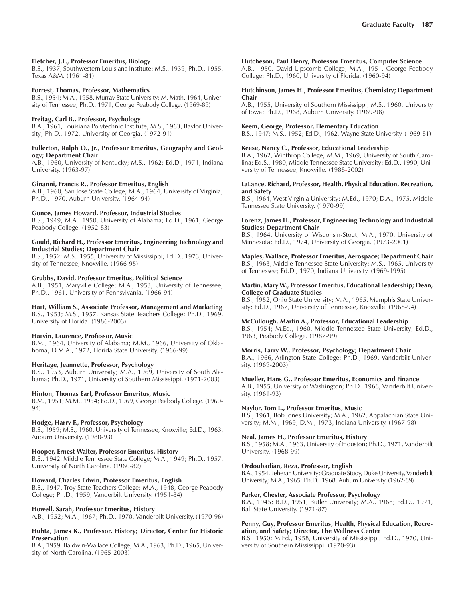# **Fletcher, J.L., Professor Emeritus, Biology**

B.S., 1937, Southwestern Louisiana Institute; M.S., 1939; Ph.D., 1955, Texas A&M. (1961-81)

#### **Forrest, Thomas, Professor, Mathematics**

B.S., 1954; M.A., 1958, Murray State University; M. Math, 1964, University of Tennessee; Ph.D., 1971, George Peabody College. (1969-89)

#### **Freitag, Carl B., Professor, Psychology**

B.A., 1961, Louisiana Polytechnic Institute; M.S., 1963, Baylor University; Ph.D., 1972, University of Georgia. (1972-91)

# **Fullerton, Ralph O., Jr., Professor Emeritus, Geography and Geology; Department Chair**

A.B., 1960, University of Kentucky; M.S., 1962; Ed.D., 1971, Indiana University. (1963-97)

#### **Ginanni, Francis R., Professor Emeritus, English**

A.B., 1960, San Jose State College; M.A., 1964, University of Virginia; Ph.D., 1970, Auburn University. (1964-94)

# **Gonce, James Howard, Professor, Industrial Studies**

B.S., 1949; M.A., 1950, University of Alabama; Ed.D., 1961, George Peabody College. (1952-83)

# **Gould, Richard H., Professor Emeritus, Engineering Technology and Industrial Studies; Department Chair**

B.S., 1952; M.S., 1955, University of Mississippi; Ed.D., 1973, University of Tennessee, Knoxville. (1966-95)

#### **Grubbs, David, Professor Emeritus, Political Science**

A.B., 1951, Maryville College; M.A., 1953, University of Tennessee; Ph.D., 1961, University of Pennsylvania. (1966-94)

**Hart, William S., Associate Professor, Management and Marketing** B.S., 1953; M.S., 1957, Kansas State Teachers College; Ph.D., 1969, University of Florida. (1986-2003)

# **Harvin, Laurence, Professor, Music**

B.M., 1964, University of Alabama; M.M., 1966, University of Oklahoma; D.M.A., 1972, Florida State University. (1966-99)

# **Heritage, Jeannette, Professor, Psychology**

B.S., 1953, Auburn University; M.A., 1969, University of South Alabama; Ph.D., 1971, University of Southern Mississippi. (1971-2003)

# **Hinton, Thomas Earl, Professor Emeritus, Music**

B.M., 1951; M.M., 1954; Ed.D., 1969, George Peabody College. (1960- 94)

#### **Hodge, Harry F., Professor, Psychology**

B.S., 1959; M.S., 1960, University of Tennessee, Knoxville; Ed.D., 1963, Auburn University. (1980-93)

# **Hooper, Ernest Walter, Professor Emeritus, History**

B.S., 1942, Middle Tennessee State College; M.A., 1949; Ph.D., 1957, University of North Carolina. (1960-82)

# **Howard, Charles Edwin, Professor Emeritus, English**

B.S., 1947, Troy State Teachers College; M.A., 1948, George Peabody College; Ph.D., 1959, Vanderbilt University. (1951-84)

#### **Howell, Sarah, Professor Emeritus, History**

A.B., 1952; M.A., 1967; Ph.D., 1970, Vanderbilt University. (1970-96)

#### **Huhta, James K., Professor, History; Director, Center for Historic Preservation**

B.A., 1959, Baldwin-Wallace College; M.A., 1963; Ph.D., 1965, University of North Carolina. (1965-2003)

#### **Hutcheson, Paul Henry, Professor Emeritus, Computer Science**

A.B., 1950, David Lipscomb College; M.A., 1951, George Peabody College; Ph.D., 1960, University of Florida. (1960-94)

#### **Hutchinson, James H., Professor Emeritus, Chemistry; Department Chair**

A.B., 1955, University of Southern Mississippi; M.S., 1960, University of Iowa; Ph.D., 1968, Auburn University. (1969-98)

#### **Keem, George, Professor, Elementary Education**

B.S., 1947; M.S., 1952; Ed.D., 1962, Wayne State University. (1969-81)

# **Keese, Nancy C., Professor, Educational Leadership**

B.A., 1962, Winthrop College; M.M., 1969, University of South Carolina; Ed.S., 1980, Middle Tennessee State University; Ed.D., 1990, University of Tennessee, Knoxville. (1988-2002)

#### **LaLance, Richard, Professor, Health, Physical Education, Recreation, and Safety**

B.S., 1964, West Virginia University; M.Ed., 1970; D.A., 1975, Middle Tennessee State University. (1970-99)

#### **Lorenz, James H., Professor, Engineering Technology and Industrial Studies; Department Chair**

B.S., 1964, University of Wisconsin-Stout; M.A., 1970, University of Minnesota; Ed.D., 1974, University of Georgia. (1973-2001)

#### **Maples, Wallace, Professor Emeritus, Aerospace; Department Chair** B.S., 1963, Middle Tennessee State University; M.S., 1965, University of Tennessee; Ed.D., 1970, Indiana University. (1969-1995)

#### **Martin, Mary W., Professor Emeritus, Educational Leadership; Dean, College of Graduate Studies**

B.S., 1952, Ohio State University; M.A., 1965, Memphis State University; Ed.D., 1967, University of Tennessee, Knoxville. (1968-94)

# **McCullough, Martin A., Professor, Educational Leadership**

B.S., 1954; M.Ed., 1960, Middle Tennessee State University; Ed.D., 1963, Peabody College. (1987-99)

# **Morris, Larry W., Professor, Psychology; Department Chair**

B.A., 1966, Arlington State College; Ph.D., 1969, Vanderbilt University. (1969-2003)

#### **Mueller, Hans G., Professor Emeritus, Economics and Finance**

A.B., 1955, University of Washington; Ph.D., 1968, Vanderbilt University. (1961-93)

#### **Naylor, Tom L., Professor Emeritus, Music**

B.S., 1961, Bob Jones University; M.A., 1962, Appalachian State University; M.M., 1969; D.M., 1973, Indiana University. (1967-98)

# **Neal, James H., Professor Emeritus, History**

B.S., 1958; M.A., 1963, University of Houston; Ph.D., 1971, Vanderbilt University. (1968-99)

#### **Ordoubadian, Reza, Professor, English**

B.A., 1954, Teheran University; Graduate Study, Duke University, Vanderbilt University; M.A., 1965; Ph.D., 1968, Auburn University. (1962-89)

#### **Parker, Chester, Associate Professor, Psychology**

B.A., 1945; B.D., 1951, Butler University; M.A., 1968; Ed.D., 1971, Ball State University. (1971-87)

#### **Penny, Guy, Professor Emeritus, Health, Physical Education, Recreation, and Safety; Director, The Wellness Center**

B.S., 1950; M.Ed., 1958, University of Mississippi; Ed.D., 1970, University of Southern Mississippi. (1970-93)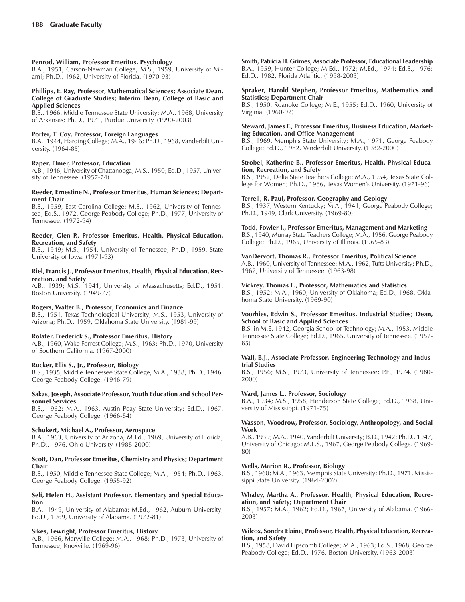#### **Penrod, William, Professor Emeritus, Psychology**

B.A., 1951, Carson-Newman College; M.S., 1959, University of Miami; Ph.D., 1962, University of Florida. (1970-93)

#### **Phillips, E. Ray, Professor, Mathematical Sciences; Associate Dean, College of Graduate Studies; Interim Dean, College of Basic and Applied Sciences**

B.S., 1966, Middle Tennessee State University; M.A., 1968, University of Arkansas; Ph.D., 1971, Purdue University. (1990-2003)

# **Porter, T. Coy, Professor, Foreign Languages**

B.A., 1944, Harding College; M.A., 1946; Ph.D., 1968, Vanderbilt University. (1964-85)

#### **Raper, Elmer, Professor, Education**

A.B., 1946, University of Chattanooga; M.S., 1950; Ed.D., 1957, University of Tennessee. (1957-74)

#### **Reeder, Ernestine N., Professor Emeritus, Human Sciences; Department Chair**

B.S., 1959, East Carolina College; M.S., 1962, University of Tennessee; Ed.S., 1972, George Peabody College; Ph.D., 1977, University of Tennessee. (1972-94)

#### **Reeder, Glen P., Professor Emeritus, Health, Physical Education, Recreation, and Safety**

B.S., 1949; M.S., 1954, University of Tennessee; Ph.D., 1959, State University of Iowa. (1971-93)

#### **Riel, Francis J., Professor Emeritus, Health, Physical Education, Recreation, and Safety**

A.B., 1939; M.S., 1941, University of Massachusetts; Ed.D., 1951, Boston University. (1949-77)

# **Rogers, Walter B., Professor, Economics and Finance**

B.S., 1951, Texas Technological University; M.S., 1953, University of Arizona; Ph.D., 1959, Oklahoma State University. (1981-99)

# **Rolater, Frederick S., Professor Emeritus, History**

A.B., 1960, Wake Forrest College; M.S., 1963; Ph.D., 1970, University of Southern California. (1967-2000)

# **Rucker, Ellis S., Jr., Professor, Biology**

B.S., 1935, Middle Tennessee State College; M.A., 1938; Ph.D., 1946, George Peabody College. (1946-79)

#### **Sakas, Joseph, Associate Professor, Youth Education and School Personnel Services**

B.S., 1962; M.A., 1963, Austin Peay State University; Ed.D., 1967, George Peabody College. (1966-84)

#### **Schukert, Michael A., Professor, Aerospace**

B.A., 1963, University of Arizona; M.Ed., 1969, University of Florida; Ph.D., 1976, Ohio University. (1988-2000)

#### **Scott, Dan, Professor Emeritus, Chemistry and Physics; Department Chair**

B.S., 1950, Middle Tennessee State College; M.A., 1954; Ph.D., 1963, George Peabody College. (1955-92)

#### **Self, Helen H., Assistant Professor, Elementary and Special Education**

B.A., 1949, University of Alabama; M.Ed., 1962, Auburn University; Ed.D., 1969, University of Alabama. (1972-81)

# **Sikes, Lewright, Professor Emeritus, History**

A.B., 1966, Maryville College; M.A., 1968; Ph.D., 1973, University of Tennessee, Knoxville. (1969-96)

**Smith, Patricia H. Grimes, Associate Professor, Educational Leadership** B.A., 1959, Hunter College; M.Ed., 1972; M.Ed., 1974; Ed.S., 1976; Ed.D., 1982, Florida Atlantic. (1998-2003)

## **Spraker, Harold Stephen, Professor Emeritus, Mathematics and Statistics; Department Chair**

B.S., 1950, Roanoke College; M.E., 1955; Ed.D., 1960, University of Virginia. (1960-92)

#### **Steward, James F., Professor Emeritus, Business Education, Marketing Education, and Office Management**

B.S., 1969, Memphis State University; M.A., 1971, George Peabody College; Ed.D., 1982, Vanderbilt University. (1982-2000)

# **Strobel, Katherine B., Professor Emeritus, Health, Physical Education, Recreation, and Safety**

B.S., 1952, Delta State Teachers College; M.A., 1954, Texas State College for Women; Ph.D., 1986, Texas Women's University. (1971-96)

# **Terrell, R. Paul, Professor, Geography and Geology**

B.S., 1937, Western Kentucky; M.A., 1941, George Peabody College; Ph.D., 1949, Clark University. (1969-80)

#### **Todd, Fowler I., Professor Emeritus, Management and Marketing**

B.S., 1940, Murray State Teachers College; M.A., 1956, George Peabody College; Ph.D., 1965, University of Illinois. (1965-83)

# **VanDervort, Thomas R., Professor Emeritus, Political Science**

A.B., 1960, University of Tennessee; M.A., 1962, Tufts University; Ph.D., 1967, University of Tennessee. (1963-98)

#### **Vickrey, Thomas L., Professor, Mathematics and Statistics**

B.S., 1952; M.A., 1960, University of Oklahoma; Ed.D., 1968, Oklahoma State University. (1969-90)

# **Voorhies, Edwin S., Professor Emeritus, Industrial Studies; Dean, School of Basic and Applied Sciences**

B.S. in M.E, 1942, Georgia School of Technology; M.A., 1953, Middle Tennessee State College; Ed.D., 1965, University of Tennessee. (1957- 85)

#### **Wall, B.J., Associate Professor, Engineering Technology and Industrial Studies**

B.S., 1956; M.S., 1973, University of Tennessee; P.E., 1974. (1980- 2000)

# **Ward, James L., Professor, Sociology**

B.A., 1934; M.S., 1958, Henderson State College; Ed.D., 1968, University of Mississippi. (1971-75)

#### **Wasson, Woodrow, Professor, Sociology, Anthropology, and Social Work**

A.B., 1939; M.A., 1940, Vanderbilt University; B.D., 1942; Ph.D., 1947, University of Chicago; M.L.S., 1967, George Peabody College. (1969- 80)

# **Wells, Marion R., Professor, Biology**

B.S., 1960; M.A., 1963, Memphis State University; Ph.D., 1971, Mississippi State University. (1964-2002)

#### **Whaley, Martha A., Professor, Health, Physical Education, Recreation, and Safety; Department Chair**

B.S., 1957; M.A., 1962; Ed.D., 1967, University of Alabama. (1966- 2003)

#### **Wilcox, Sondra Elaine, Professor, Health, Physical Education, Recreation, and Safety**

B.S., 1958, David Lipscomb College; M.A., 1963; Ed.S., 1968, George Peabody College; Ed.D., 1976, Boston University. (1963-2003)